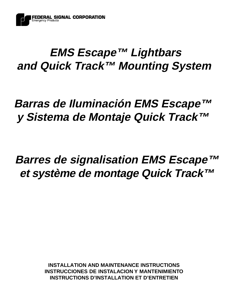

# **EMS Escape™ Lightbars and Quick Track™ Mounting System**

# **Barras de Iluminación EMS Escape™ y Sistema de Montaje Quick Track™**

# **Barres de signalisation EMS Escape™ et système de montage Quick Track™**

**INSTALLATION AND MAINTENANCE INSTRUCTIONS INSTRUCCIONES DE INSTALACION Y MANTENI INSTRUCTIONS D'INSTALLATION ET D'ENTRETIEN**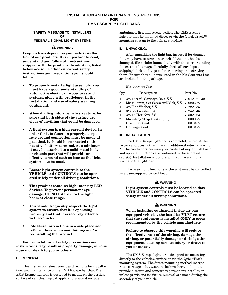# **INSTALLATION AND MAINTENANCE INSTRUCTIONS FOR EMS ESCAPE™ LIGHT BARS**

## **SAFETY MESSAGE TO INSTALLERS OF FEDERAL SIGNAL LIGHT SYSTEMS**

# **WARNING**

**People's lives depend on your safe installation of our products. It is important to read, understand and follow all instructions shipped with the products. In addition, listed below are some other important safety instructions and precautions you should follow:**

- **To properly install a light assembly: you must have a good understanding of automotive electrical procedures and systems, along with proficiency in the installation and use of safety warning equipment.**
- **When drilling into a vehicle structure, be sure that both sides of the surface are clear of anything that could be damaged.**
- **A light system is a high current device. In order for it to function properly, a separate ground connection must be made. If practical, it should be connected to the negative battery terminal. At a minimum, it may be attached to a solid metal body or chassis part that will provide an effective ground path as long as the light system is to be used.**
- **Locate light system controls so the VEHICLE and CONTROLS can be operated safely under all driving conditions.**
- **This product contains high intensity LED devices. To prevent permanent eye damage, DO NOT stare into the light beam at close range.**
- **You should frequently inspect the light system to ensure that it is operating properly and that it is securely attached to the vehicle.**
- **File these instructions in a safe place and refer to them when maintaining and/or re-installing the product.**

**Failure to follow all safety precautions and instructions may result in property damage, serious injury, or death to you or others.**

# **I. GENERAL.**

This instruction sheet provides directions for installation, and maintenance of the EMS Escape lightbar. The EMS Escape lightbar is designed to mount on the vertical surface of vehicles. Typical applications would include

ambulance, fire, and rescue bodies. The EMS Escape lightbar may be mounted direct or via the Quick Track™ mounting system to the vehicle's surface.

# **II. UNPACKING.**

After unpacking the light bar, inspect it for damage that may have occurred in transit. If the unit has been damaged, file a claim immediately with the carrier, stating the extent of damage. Carefully check all envelopes, shipping labels and tags before removing or destroying them. Ensure that all parts listed in the Kit Contents List are included in the package.

## *Kit Contents List*

| Qtv.           | Description                              | Part No.    |
|----------------|------------------------------------------|-------------|
| 4              | $3/8-16 \times 2$ ", Carriage Bolt, S.S. | 7004A024-32 |
| 8              | M8 x 25mm, Set Screw w/Nylok, S.S.       | 7008039A    |
| 4              | 3/8 Flat Washer, S.S.                    | 7072A035    |
| $\overline{4}$ | 3/8 Lockwasher, S.S.                     | 7074A046    |
| 4              | 3/8-16 Hex Nut, S.S.                     | 7059A063    |
| $\mathbf 2$    | Mounting Strip Gasket (10')              | 8003006A    |
| 1              | Grommet, Seal                            | 8003127A    |
| 2              | Carriage, Seal                           | 8003128A    |

# **III. INSTALLATION.**

The EMS Escape light bar is completely wired at the factory and does not require any additional internal wiring. All the conductors necessary for control of any and all basic and optional functions are contained in the supplied cable(s). Installation of options will require additional wiring in the light bar.

The basic light functions of the unit must be controlled by a user-supplied control head.

# **WARNING**

**Light system controls must be located so that VEHICLE and CONTROLS can be operated safely under all driving conditions.**

# **WARNING**

**When installing equipment inside air bag equipped vehicles, the installer MUST ensure that the equipment is installed ONLY in areas recommended by the vehicle manufacturer.**

**Failure to observe this warning will reduce the effectiveness of the air bag, damage the air bag, or potentially damage or dislodge the equipment, causing serious injury or death to you or others.**

The EMS Escape lightbar is designed for mounting directly to the vehicle's surface or via the Quick Track mounting system. The direct mounting method incorporates carriage bolts, washers, lockwashers, and nuts to provide a secure and somewhat permanent installation, unless provisions for future removal are made during the assembly of your vehicle.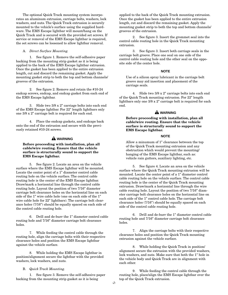The optional Quick Track mounting system incorporates an aluminum extrusion, carriage bolts, washers, lock washers, and nuts. The Quick Track extrusion is securely mounted to the vehicle's surface using the supplied hardware. The EMS Escape lightbar will mount/hang on the Quick Track and is secured with the provided set screws. If service or removal of the EMS Escape lightbar is required, the set screws can be loosened to allow lightbar removal.

#### A. *Direct Surface Mounting.*

1. See figure 1. Remove the self-adhesive paper backing from the mounting strip gasket as it is being applied to the back of the EMS Escape lightbar extrusion. Once the gasket has been applied to the entire extrusion length, cut and discard the remaining gasket. Apply the mounting gasket strip to both the top and bottom channels/ grooves of the extrusion.

2. See figure 2. Remove and retain the #10-24 endcap screws, endcap, and endcap gasket from each end of the EMS Escape lightbar.

3. Slide two 3/8 x 2" carriage bolts into each end of the EMS Escape lightbar. For 22" length lightbars only one 3/8 x 2" carriage bolt is required for each end.

4. Place the endcap gaskets, and endcaps back onto the end of the extrusion and secure with the previously retained #10-24 screws.

## **WARNING**

# **Before proceeding with installation, plan all cable/wire routing. Ensure that the vehicle surface is structurally sound to support the EMS Escape lightbar.**

5. See figure 2. Locate an area on the vehicle surface where the EMS Escape lightbar will be mounted. Locate the center point of a 1" diameter control cable routing hole on the vehicle surface. The control cable routing hole is the center of the EMS Escape lightbar. Draw/mark a horizontal line through the control cable routing hole. Layout the position of two 7/16" diameter carriage bolt clearance holes on the horizontal line on each side of the 1" wire cable hole (one on each side of the 1" wire cable hole for 22" lightbars). The carriage bolt clearance holes (7/16") should be equally spaced on each side of the control cable routing hole.

6. Drill and de-burr the 1" diameter control cable routing hole and 7/16" diameter carriage bolt clearance holes.

7. While feeding the control cable through the routing hole, align the carriage bolts with their respective clearance holes and position the EMS Escape lightbar against the vehicle surface.

8. While holding the EMS Escape lightbar in position/alignment secure the lightbar with the provided washers, lock washers, and nuts.

#### B. *Quick Track Mounting.*

1. See figure 3. Remove the self-adhesive paper backing from the mounting strip gasket as it is being

applied to the back of the Quick Track mounting extrusion. Once the gasket has been applied to the entire extrusion length, cut and discard the remaining gasket. Apply the mounting gasket strip to both the top and bottom channels/ grooves of the extrusion.

2. See figure 3. Insert the grommet seal into the control cable routing hole in the Quick Track mounting extrusion.

3. See figure 3. Insert both carriage seals in the carriage bolt groove. Place one seal on one side of the control cable routing hole and the other seal on the opposite side of the center hole.

# **NOTE**

Use of a silicon spray lubricant in the carriage bolt groove may aid insertion and placement of the carriage seals.

4. Slide two 3/8 x 2" carriage bolts into each end of the Quick Track mounting extrusion. For 22" length lightbars only one 3/8 x 2" carriage bolt is required for each end.

# **WARNING**

**Before proceeding with installation, plan all cable/wire routing. Ensure that the vehicle surface is structurally sound to support the EMS Escape lightbar.**

# **NOTE**

Allow a minumum of 1" clearance between the top of the Quick Track mounting extrusion and any obstruction which would prevent the mounting/ hanging of the EMS Escape lightbar, such as: vehicle rain gutters, auxiliary lighting, etc.

5. See figure 4. Locate an area on the vehicle surface where the Quick Track mounting extrusion will be mounted. Locate the center point of a 1" diameter control cable routing hole on the vehicle surface. The control cable routing hole is the center of the Quick Track mounting extrusion. Draw/mark a horizontal line through the wire cable routing hole. Layout the position of two 7/16" diameter carriage bolt clearance holes on the horizontal line on each side of the 1" control cable hole. The carriage bolt clearance holes (7/16") should be equally spaced on each side of the control cable routing hole.

6. Drill and de-burr the 1" diameter control cable routing hole and 7/16" diameter carriage bolt clearance holes.

7. Align the carriage bolts with their respective clearance holes and position the Quick Track mounting extrusion against the vehicle surface.

8. While holding the Quick Track in position/ alignment secure the extrusion with the provided washers, lock washers, and nuts. Make sure that both the 1" hole in the vehicle body and Quick Track are in alignment with each other.

9. While feeding the control cable through the routing hole, place/align the EMS Escape lightbar over the top of the Quick Track extrusion.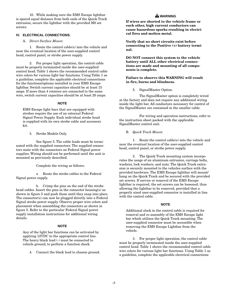10. While making sure the EMS Escape lightbar is spaced equal distance from both ends of the Quick Track extrusion, secure the lightbar with the provided M8 set screws.

# **IV. ELECTRICAL CONNECTIONS.**

## A. *Direct Surface Mount.*

1. Route the control cable(s) into the vehicle and near the eventual location of the user-supplied control head, control panel, or strobe power supply.

2. For proper light operation, the control cable must be properly terminated inside the user-supplied control head. Table 1 shows the recommended control cable wire colors for various light bar functions. Using Table 1 as a guideline, complete the applicable electrical connections for the functions/options installed in your EMS Escape lightbar. Switch current capacities should be at least 15 amps. If more than 4 rotators are connected to the same wire, switch current capacities should be at least 20 amps.

#### **NOTE**

EMS Escape light bars that are equipped with strobes require the use of an external Federal Signal Power Supply. Each individual strobe head is supplied with its own strobe cable and accessory kit.

3. Strobe Models Only.

See figure 5. The cable leads must be terminated with the supplied connectors. The supplied connectors mate with the connectors on Federal Signal power supplies. Wiring should not be performed until the unit is mounted as previously described.

Complete the wiring as follows:

a Route the strobe cables to the Federal Signal power supply.

b. Crimp the pins on the end of the strobe head cables. Insert the pins in the connector housing(s) as shown in figure 5 and push them until they snap into place. The connector(s) can now be plugged directly into a Federal Signal strobe power supply. Observe proper wire colors and placement when assembling the connectors as shown in figure 5. Refer to the particular Federal Signal power supply installation instructions for additional wiring details.

#### **NOTE**

Any of the light bar functions can be activated by applying 12VDC to the appropriate control line. The heavy black lead (-) must be connected to vehicle ground, to perform a function check.

4. Connect the black lead to chassis ground.

# **WARNING**

**If wires are shorted to the vehicle frame or each other, high current conductors can cause hazardous sparks resulting in electrical fires and molten metal.**

**Verify that no short circuits exist before connecting to the Positive (+) battery terminal.**

**DO NOT connect this system to the vehicle battery until ALL other electrical connections are made and mounting of all components is complete.**

## **Failure to observe this WARNING will result in fire, burns and blindness.**

5. SignalMaster Option.

The SignalMaster option is completely wired at the factory and does not require any additional wiring inside the light bar. All conductors necessary for control of the SignalMaster are contained in the smaller cable.

For wiring and operation instructions, refer to the instruction sheet packed with the applicable SignalMaster control unit.

B. *Quick Track Mount.*

1. Route the control cable(s) into the vehicle and near the eventual location of the user-supplied control head, control panel, or strobe power supply.

2. The Quick Track mounting system incorporates the usage of an aluminum extrusion, carriage bolts, washers, lock washers, and nuts. The Quick Track extrusion is securely mounted to the vehicles surface with the provided hardware. The EMS Escape lightbar will mount/ hang on the Quick Track and be secured with the provided set screws. If service or removal of the EMS Escape lightbar is required, the set screws can be loosened, thus allowing the lightbar to be removed, provided that a properly sized user-supplied connector is installed in line with the control cable.

#### **NOTE**

Additional slack in the control cable is required for removal and re-assembly of the EMS Escape light bar which utilizes the Quick Track mounting. The user-supplied connector must be accessible when removing the EMS Escape Lightbar from the vehicle.

3. For proper light operation, the control cable must be properly terminated inside the user-supplied control head. Table 1 shows the recommended control cable wire colors for various light bar functions. Using Table 1 as a guideline, complete the applicable electrical connections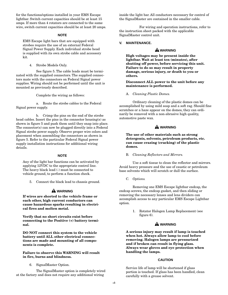for the functions/options installed in your EMS Escape lightbar. Switch current capacities should be at least 15 amps. If more than 4 rotators are connected to the same wire, switch current capacities should be at least 20 amps.

## **NOTE**

EMS Escape light bars that are equipped with strobes require the use of an external Federal Signal Power Supply. Each individual strobe head is supplied with its own strobe cable and accessory kit.

4. Strobe Models Only.

See figure 5. The cable leads must be terminated with the supplied connectors. The supplied connectors mate with the connectors on Federal Signal power supplies. Wiring should not be performed until the unit is mounted as previously described.

Complete the wiring as follows:

a. Route the strobe cables to the Federal Signal power supply.

b. Crimp the pins on the end of the strobe head cables. Insert the pins in the connector housing(s) as shown in figure 5 and push them until they snap into place. The connector(s) can now be plugged directly into a Federal Signal strobe power supply. Observe proper wire colors and placement when assembling the connectors as shown in figure 5. Refer to the particular Federal Signal power supply installation instructions for additional wiring details.

# **NOTE**

Any of the light bar functions can be activated by applying 12VDC to the appropriate control line. The heavy black lead (-) must be connected to vehicle ground, to perform a function check.

5. Connect the black lead to chassis ground.

# **WARNING**

**If wires are shorted to the vehicle frame or each other, high current conductors can cause hazardous sparks resulting in electrical fires and molten metal.**

**Verify that no short circuits exist before connecting to the Positive (+) battery terminal.**

**DO NOT connect this system to the vehicle battery until ALL other electrical connections are made and mounting of all components is complete.**

## **Failure to observe this WARNING will result in fire, burns and blindness.**

6. SignalMaster Option.

The SignalMaster option is completely wired at the factory and does not require any additional wiring

inside the light bar. All conductors necessary for control of the SignalMaster are contained in the smaller cable.

For wiring and operation instructions, refer to the instruction sheet packed with the applicable SignalMaster control unit.

#### **V. MAINTENANCE.**

# **WARNING**

**High voltages may be present inside the lightbar. Wait at least ten (minutes), after shutting off power, before servicing this unit. Failure to do so may result in property damage, serious injury, or death to you or others.**

## **Disconnect ALL power to the unit before any maintenance is performed.**

A. *Cleaning Plastic Domes.*

Ordinary cleaning of the plastic domes can be accomplished by using mild soap and a soft rag. Should fine scratches or a haze appear on the domes, they can ordinarily be removed with a non-abrasive high quality, automotive paste wax.

# **WARNING**

**The use of other materials such as strong detergents, solvents, petroleum products, etc. can cause crazing (cracking) of the plastic domes.**

## B. *Cleaning Reflectors and Mirrors.*

Use a soft tissue to clean the reflector and mirrors. Avoid heavy pressure and the use of caustic or petroleum base solvents which will scratch or dull the surface.

C. *Options.*

Removing one EMS Escape lightbar endcap, the endcap screws, the endcap gasket, and then sliding or removing the necessary lenses and lens dividers can accomplish access to any particular EMS Escape Lightbar option.

> 1. Rotator Halogen Lamp Replacement (see figure 6).

# **WARNING**

**A serious injury may result if lamp is touched when hot. Always allow lamp to cool before removing. Halogen lamps are pressurized and if broken can result in flying glass. Always wear gloves and eye protection when handling the lamps.**

#### **CAUTION**

Service life of lamp will be shortened if glass portion is touched. If glass has been handled, clean carefully with a grease solvent.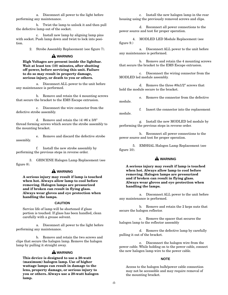a. Disconnect all power to the light before performing any maintenance.

b. Twist the lamp to unlock it and then pull the defective lamp out of the socket.

c. Install new lamp by aligning lamp pins with socket. Push lamp down and twist to lock into position.

2. Strobe Assembly Replacement (see figure 7).

# **WARNING**

## **High Voltages are present inside the lightbar. Wait at least ten (10) minutes, after shutting off power, before servicing this unit. Failure to do so may result in property damage, serious injury, or death to you or others.**

a. Disconnect ALL power to the unit before any maintenance is performed.

b. Remove and retain the 4 mounting screws that secure the bracket to the EMS Escape extrusion.

c. Disconnect the wire connector from the defective strobe assembly.

d. Remove and retain the (4) #6 x 3/8" thread forming screws which secure the strobe assembly to the mounting bracket.

e. Remove and discard the defective strobe assembly.

f. Install the new strobe assembly by performing the previous steps in reverse order.

3. GHSCENE Halogen Lamp Replacement (see figure 8).

# **WARNING**

**A serious injury may result if lamp is touched when hot. Always allow lamp to cool before removing. Halogen lamps are pressurized and if broken can result in flying glass. Always wear gloves and eye protection when handling the lamps.**

## **CAUTION**

Service life of lamp will be shortened if glass portion is touched. If glass has been handled, clean carefully with a grease solvent.

a. Disconnect all power to the light before performing any maintenance.

b. Remove and retain the two screws and clips that secure the halogen lamp. Remove the halogen lamp by pulling it straight away.

# **WARNING**

**This device is designed to use a 20-watt (maximum) halogen lamp. Use of higher wattage lamps can result in damage to the lens, property damage, or serious injury to you or others. Always use a 20-watt halogen lamp.**

c. Install the new halogen lamp in the rear housing using the previously removed screws and clips.

d. Reconnect all power connections to the power source and test for proper operation.

4. MODLED LED Module Replacement (see figure 9.)

a. Disconnect ALL power to the unit before any maintenance is performed.

b. Remove and retain the 4 mounting screws that secure the bracket to the EMS Escape extrusion.

c. Disconnect the wiring connector from the MODLED led module assembly.

d. Remove the three #8x1/2" screws that hold the module secure to the bracket.

e. Remove the connector from the defective module.

f. Insert the connector into the replacement module.

g. Install the new MODLED led module by performing the previous steps in reverse order.

h. Reconnect all power connections to the power source and test for proper operation.

5. EMSHAL Halogen Lamp Replacement (see figure 10).

# **WARNING**

**A serious injury may result if lamp is touched when hot. Always allow lamp to cool before removing. Halogen lamps are pressurized and if broken can result in flying glass. Always wear gloves and eye protection when handling the lamps.**

a. Disconnect ALL power to the unit before any maintenance is performed.

b. Remove and retain the 2 keps nuts that secure the halogen reflector.

c. Remove the spacer that secures the halogen lamp to the reflector assembly

d. Remove the defective lamp by carefully pulling it out of the bracket.

e. Disconnect the halogen wire from the power cable. While holding on to the power cable, connect the new halogen lamp wire to the power cable.

# **NOTE**

Access to the halogen bulb/power cable connection may not be accessible and may require removal of the mounting bracket.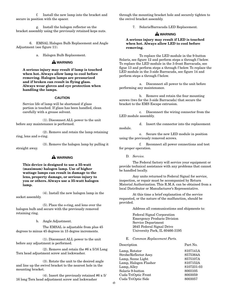f. Install the new lamp into the bracket and secure in position with the spacer.

g. Install the halogen reflector on the bracket assembly using the previously retained keps nuts.

6. EMSAL Halogen Bulb Replacement and Angle Adjustment (see figure 11).

a. Halogen Bulb Replacement.

# **WARNING**

**A serious injury may result if lamp is touched when hot. Always allow lamp to cool before removing. Halogen lamps are pressurized and if broken can result in flying glass. Always wear gloves and eye protection when handling the lamps.**

## **CAUTION**

Service life of lamp will be shortened if glass portion is touched. If glass has been handled, clean carefully with a grease solvent.

(1). Disconnect ALL power to the unit before any maintenance is performed.

(2). Remove and retain the lamp retaining ring, lens and o-ring.

(3). Remove the halogen lamp by pulling it straight away.

# **WARNING**

**This device is designed to use a 35-watt (maximum) halogen lamp. Use of higher wattage lamps can result in damage to the lens, property damage, or serious injury to you or others. Always use a 35-watt halogen lamp.**

(4). Install the new halogen lamp in the socket assembly.

(5). Place the o-ring, and lens over the halogen bulb and secure with the previously removed retaining ring.

b. Angle Adjustment.

The EMSAL is adjustable from plus 45 degrees to minus 45 degrees in 15 degree increments.

(1). Disconnect ALL power to the unit before any adjustment is performed.

(2). Remove and retain the #6 x 5/16 Long Torx head adjustment screw and lockwasher.

(3). Rotate the unit to the desired angle and line up the swivel bracket to the nearest hole in the mounting bracket.

(4). Insert the previously retained #6 x 5/ 16 long Torx head adjustment screw and lockwasher

through the mounting bracket hole and securely tighten to the swivel bracket assembly.

7. Solaris/Barracuda LED Replacement.

# **WARNING**

**A serious injury may result if LED is touched when hot. Always allow LED to cool before removing.**

To replace the LED module in the 9-button Solaris, see figure 12 and perform steps a through f below. To replace the LED module in the 3-front Barracuda, see figue 13 and perform steps a through f below. To replace the LED module in the 3-side Barracuda, see figure 14 and perform steps a through f below.

a. Disconnect all power to the unit before performing any maintenance.

b. Remove and retain the four mounting screws (two for the 3-side Barracuda) that secure the bracket to the EMS Escape extrusion.

c. Disconnect the wiring connector from the LED module assembly.

d. Insert the connector into the replacement module.

e. Secure the new LED module in position using the previously removed screws.

f. Reconnect all power connections and test for proper operation.

D. *Service.*

The Federal factory will service your equipment or provide technical assistance with any problems that cannot be handled locally.

Any units returned to Federal Signal for service, inspection, or repair must be accompanied by Return Material Authorization. This R.M.A. can be obtained from a local Distributor or Manufacturer's Representative.

At this time a brief explanation of the service requested, or the nature of the malfunction, should be provided.

Address all communications and shipments to:

Federal Signal Corporation Emergency Products Division Service Department 2645 Federal Signal Drive University Park, IL 60466-3195

## E. *Common Replacement Parts.*

# Description Part No. Lamp, Rotator 8107141A Strobe/Reflector Assy. 8575364A Lamp, Scene Light 8575107A Lamp, Halogen Flasher 8107152A Lamp, Alley 8107231-03 Solaris 9-button 8003105 Cuda TriOptic Front 8003059 Cuda TriOptic Side 8003057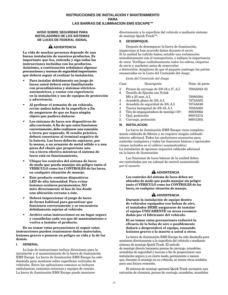## **INSTRUCCIONES DE INSTALACION Y MANTENIMIENTO PARA LAS BARRAS DE ILUMINACION EMS ESCAPE™**

## **AVISO SOBRE SEGURIDAD PARA INSTALADORES DE LOS SISTEMAS DE LUCES DE FEDERAL SIGNAL**

# **A** ADVERTENCIA

**La vida de muchas personas depende de una buena instalación de nuestros productos. Es importante que lea, entienda y siga todas las instrucciones incluidas con los productos. Asimismo, a continuación señalamos algunas precauciones y normas de seguridad importantes que deberá seguir al realizar la instalación.**

- **Para instalar debidamente un juego de luces; usted deberá estar familiarizado con procedimientos y sistemas eléctricoautomotrices, y contar con experiencia en la instalación y uso de equipos de protección y advertencia.**
- **Al perforar el armazón de un vehículo, revise ambos lados de la superficie a fin de asegurarse de que no haya ningún objeto que pudiera dañarse.**
- **Los sistemas de luces son dispositivos de alta corriente. A fin de que estos funcionen correctamente, debe realizarse una conexión a tierra por separado. Si resulta práctico, deberá conectarse al terminal negativo de la batería. Las luces deberán sujetarse, por lo menos, a un armazón de metal sólido o a una pieza del chasis que proporcione una vía a tierra efectiva mientras el sistema de luces está en funcionamiento.**
- **Ubique los controles del sistema de luces de modo que pueda manejar sin peligro tanto el VEHICULO como los CONTROLES de las luces, en cualquier situación de manejo.**
- **Este producto contiene dispositivos LED de alta intensidad. Para evitar lesiones oculares permanentes, NO mire directamente al haz de luz desde una ubicación cercana a éste.**
- **Deberá inspeccionar el juego de luces de forma habitual para garantizar que funcionen correctamente y se encuentren debidamente sujetas al vehículo.**
- **Archive estas instrucciones en un lugar seguro y consúltelas cada vez que dé mantenimiento o vuelva a instalar el producto.**

**De no tomar estas precauciones ni seguir estas instrucciones pueden ocasionarse daños materiales, lesiones graves o ponerse en peligro su vida y la de los demás.**

#### **I. GENERAL.**

La hoja de instrucciones incluye direcciones para la instalación y el mantenimiento de la barra de iluminación EMS Escape. La barra de iluminación EMS Escape ha sido diseñada para montarse sobre superficies verticales de vehículos. Entre las aplicaciones comunes se incluyen ambulancias, camiones cisternas y equipos de rescate. La barra de iluminación EMS Escape puede montarse

directamente a la superficie del vehículo o mediante sistema de montaje Quick Track™.

## **II. DESEMPAQUE.**

Después de desempacar la barra de iluminación, inspeccione si han ocurrido daños durante el envío. Si la unidad ha sufrido daños, entable una reclamación inmediatamente con el transportista, e indique la importancia de estos. Verifique cuidadosamente todos los sobres, etiquetas de envío y marbetes antes de removerlos o destruirlos. Asegúrese de que el paquete contenga las partes enumeradas en la Lista del Contenido del Juego.

#### *Lista del Contenido del Juego*

| Cant.          | Descripción                             | Núm. de parte |
|----------------|-----------------------------------------|---------------|
| $\overline{4}$ | Pernos de carruaje de 3/8-16 x 2", A.I. | 7004A024-32   |
| 8              | Tornillo de fijación con Nylok          |               |
|                | $M8 \times 25$ mm, A.I.                 | 7008039A      |
| $\overline{4}$ | Arandela plana de 3/8, A.I.             | 7072A035      |
| 4              | Arandela de seguridad de 3/8, A.I.      | 7074A046      |
| $\overline{4}$ | Tuerca hexagonal de 3/8-16, A.I.        | 7059A063      |
| $\mathbf 2$    | Tira de empaquetadura de montaje (10')  | 8003006A      |
| 1              | Ojal, protección                        | 8003127A      |
| 2              | Carruaje, protección                    | 8003128A      |
|                |                                         |               |

## **III. INSTALACION.**

La barra de iluminación EMS Escape viene completamente cableada de fábrica y no requiere ningún cableado interno adicional. Todos los conductores necesarios para controlar cualquiera y todas las funciones básicas y opcionales vienen incluidos en el cable(s) suministrado(s). La instalación de opciones requerirá cableado adicional en la barra de iluminación.

Las funciones de luces básicas de la unidad deben ser controladas por un cabezal de control suministrado por el usuario.

# **A** ADVERTENCIA

**Los controles del sistema de luces deben ser ubicados de modo que pueda manejar sin peligro tanto el VEHICULO como los CONTROLES de las luces, en cualquier situación de manejo.**

# **A** ADVERTENCIA

**Durante la instalación de equipo dentro de vehículos equipados con bolsas de aire, el instalador DEBE asegurarse de instalar el equipo UNICAMENTE en áreas recomendadas por el fabricante del vehículo.**

#### **El no tomar estas precauciones reducirá la eficacia de la bolsa de aire o posiblemente dañará o desprenderá el equipo, causando lesiones graves o la muerte a usted u otros.**

La barra de iluminación EMS Escape ha sido diseñada para montarse directamente a la superficie del vehículo o mediante sistema de montaje Quick Track. El método de montaje directo incorpora pernos de carruaje, arandelas, arandelas de seguridad y tuercas a fin de proporcionar una instalación segura y, en cierto modo, permanente a menos que, durante el montaje en su vehículo, se tomen otras medidas para una futura remoción.

El sistema de montaje opcional Quick Track incorpora una extrusión de aluminio, pernos de carruaje, arandelas, arandelas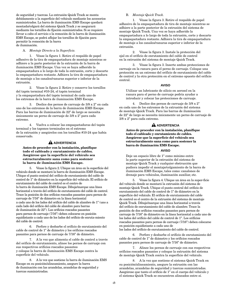de seguridad y tuercas. La extrusión Quick Track se monta debidamente a la superficie del vehículo mediante los accesorios suministrados. La barra de iluminación EMS Escape quedará montada/colgará del sistema Quick Track y se asegurará mediante los tornillos de fijación suministrados. Si se requiere llevar a cabo el servicio o la remoción de la barra de iluminación EMS Escape, se podrá aflojar los tornillos de fijación para permitir la remoción de la barra de iluminación.

## A. *Montaje Directo a la Superficie.*

1. Véase la figura 1. Retire el respaldo de papel adhesivo de la tira de empaquetadura de montaje mientras se adhiere a la parte posterior de la extrusión de la barra de iluminación EMS Escape. Una vez se haya adherido la empaquetadura a lo largo de toda la extrusión, corte y descarte la empaquetadura restante. Adhiera la tira de empaquetadura de montaje a los canales/ranuras superior e inferior de la extrusión.

2. Véase la figura 2. Retire y conserve los tornillos del tapón terminal #10-24, el tapón terminal y la empaquetadura del tapón terminal de cada uno de los extremos de la barra de iluminación EMS Escape.

3. Deslice dos pernos de carruaje de 3/8 x 2" en cada uno de los extremos de la barra de iluminación EMS Escape. Para las barras de iluminación de 22" de largo se necesita únicamente un perno de carruaje de 3/8 x 2" para cada extremo.

4. Vuelva a colocar las empaquetaduras del tapón terminal y los tapones terminales en el extremo de la extrusión y asegúrelos con los tornillos #10-24 que había conservado.

# **A** ADVERTENCIA

**Antes de proceder con la instalación, planifique todo el cableado y enrutamiento de cables. Asegúrese que la superficie del vehículo sea estructuralmente sana como para sostener la barra de iluminación EMS Escape.**

5. Véase la figura 2. Ubique un área en la superficie del vehículo donde se montará la barra de iluminación EMS Escape. Ubique el punto central del orificio de enrutamiento del cable de control de 1" de diámetro en la superficie del vehículo. El orificio de enrutamiento del cable de control es el centro de la barra de iluminación EMS Escape. Dibuje/marque una línea horizontal a través del orificio de enrutamiento del cable de control. Trace la posición de dos orificios roscados pasantes para pernos de carruaje de 7/16" de diámetro en la línea horizontal a cada uno de los lados del orificio del cable de alambre de 1" (uno a cada lado del orificio del cable de alambre para barras de iluminación de 22"). Los orificios roscados pasantes para pernos de carruaje (7/16") deben colocarse en posición equidistante a cada uno de los lados del orificio de enruta-miento del cable de control.

6. Perfore y desbarbe el orificio de enrutamiento del cable de control de 1" de diámetro y los orificios roscados pasantes para pernos de carruaje de 7/16" de diámetro.

7. A la vez que alimenta el cable de control a través del orificio de enrutamiento, alinee los pernos de carruaje con sus respectivos orificios roscados pasantes y coloque la barra de iluminación EMS Escape contra la superficie del vehículo.

8. A la vez que sostiene la barra de iluminación EMS Escape en su posición/alineamiento, asegure la barra de iluminación con las arandelas, arandelas de seguridad y tuercas suministradas.

## B. *Montaje Quick Track.*

1. Véase la figura 3. Retire el respaldo de papel adhesivo de la empaquetadura de tira de montaje mientras se adhiere a la parte posterior de la extrusión del sistema de montaje Quick Track. Una vez se haya adherido la empaquetadura a lo largo de toda la extrusión, corte y descarte la empaquetadura restante. Adhiera la tira de empaquetadura de montaje a los canales/ranuras superior e inferior de la extrusión.

2. Véase la figura 3. Instale la protección del ojal en el orificio de enrutamiento del cable de control en la extrusión del sistema de montaje Quick Track.

3. Véase la figura 3. Inserte ambas protecciones de carruaje en la ranura para el perno de carruaje. Coloque una protección en un extremo del orificio de enrutamiento del cable de control y la otra protección en el extremo opuesto del orificio central.

#### **AVISO**

Utilizar un lubricante de silicio en aerosol en la ranura para el perno de carruaje podría ayudar a introducir y colocar las protecciones de carruaje.

4. Deslice dos pernos de carruaje de 3/8 x 2" en cada uno de los extremos de la extrusión del sistema de montaje Quick Track. Para las barras de iluminación de 22" de largo se necesita únicamente un perno de carruaje de 3/8 x 2" para cada extremo.

# **A** ADVERTENCIA

**Antes de proceder con la instalación, planifique todo el cableado y enrutamiento de cables. Asegúrese que la superficie del vehículo sea estructuralmente sana como para sostener la barra de iluminación EMS Escape.**

## **AVISO**

Deje un espacio libre de 1" como mínimo entre la parte superior de la extrusión del sistema de montaje Quick Track y cualquier obstrucción que pudiera impedir el montaje/colgamiento de la barra de iluminación EMS Escape, tales como: canalones de drenaje para vehículos, iluminación auxiliar, etc.

5. Véase la figura 4. Ubique un área en la super-ficie del vehículo donde se montará la extrusión del sistema de montaje Quick Track. Ubique el punto central del orificio de enrutamiento del cable de control de 1" de diámetro en la superficie del vehículo. El orificio de enrutamiento del cable de control es el centro de la extrusión del sistema de montaje Quick Track. Dibuje/marque una línea horizontal a través del orificio de enrutamiento del cable de alambre. Trace la posición de dos orificios roscados pasantes para pernos de carruaje de 7/16" de diámetro en la línea horizontal a cada uno de los lados del orificio del cable de control de 1". Los orificios roscados pasantes para pernos de carruaje (7/16") deben colocarse en posición equidistante a cada uno de los lados del orificio de enrutamiento del cable de control.

6. Perfore y desbarbe el orificio de enrutamiento del cable de control de 1" de diámetro y los orificios roscados pasantes para pernos de carruaje de 7/16" de diámetro.

7. Alinee los pernos de carruaje con sus respectivos orificios roscados pasantes y coloque la extrusión del sistema de montaje Quick Track contra la superficie del vehículo.

8. A la vez que sostiene el sistema Quick Track en su posición/alineamiento, asegure la extrusión con las arandelas, arandelas de seguridad y tuercas suministradas. Asegúrese que tanto el orificio de 1" en el cuerpo del vehículo y el sistema Quick Track se encuentren alineados entre sí.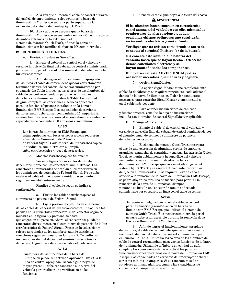9. A la vez que alimenta el cable de control a través del orificio de enrutamiento, coloque/alinee la barra de iluminación EMS Escape sobre la parte superior de la extrusión del sistema de montaje Quick Track.

10. A la vez que se asegura que la barra de iluminación EMS Escape se encuentra en posición equidistante de ambos extremos de la extrusión del sistema de montaje Quick Track, afiance la barra de iluminación con los tornillos de fijación M8 suministrados.

#### **IV. CONEXIONES ELECTRICAS.**

## A. *Montaje Directo a la Superficie.*

1. Enrute el cable(s) de control en el vehículo y cerca de la ubicación final del cabezal de control suminis-trado por el usuario, panel de control o suministro de potencia de la luz estroboscópica.

2. A fin de lograr el funcionamiento apropiado de las luces, el cable de control debe quedar correctamente terminado dentro del cabezal de control suministrado por el usuario. La Tabla 1 muestra los colores de los alambres del cable de control recomendado para varias funciones de la barra de iluminación. Utilice la Tabla 1 en calidad de guía, complete las conexiones eléctricas aplicables para las funciones/opciones instaladas en la barra de iluminación EMS Escape. Las capacidades de corriente del interruptor deberán ser como mínimo 15 amperios. Si se conectan más de 4 rotadores al mismo alambre, cambie las capacidades de corriente a 20 amperios como mínimo.

## **AVISO**

Las barras de iluminación EMS Escape que están equipadas con luces estroboscópicas requieren el uso de un Suministro de Potencia de Federal Signal. Cada cabezal de luz estrobos-cópica individual se suministra con su propio cable estroboscópico y juego de accesorios.

3. Modelos Estroboscópicos Solamente.

Véase la figura 5. Los cables de prueba deben terminarse con los conectores suministrados. Los conectores suministrados se acoplan a los conectores en los suministros de potencia de Federal Signal. No se debe realizar el cableado hasta que la unidad no se monte según se describió anteriormente.

Finalice el cableado según se indica a continuación:

a. Enrute los cables estroboscópicos al suministro de potencia de Federal Signal.

b. Fije a presión las patillas en el extremo de los cables del cabezal de luz estroboscópica. Introduzca las patillas en la cubierta(s) protectora(s) del conector según se muestra en la figura 5 y presiónelas hasta que caigan en su posición. Ahora, el conector(es) puede(n) conectarse directamente en el suministro de potencia de la luz estroboscópica de Federal Signal. Fíjese en la colocación y colores apropiados de los alambres cuando instale los conectores según se muestra en la figura 5. Consulte las instrucciones de instalación del suministro de potencia de Federal Signal para detalles de cableado adicionales.

# **AVISO**

Cualquiera de las funciones de la barra de iluminación puede ser activada aplicando 12V CC a la línea de control apropiada. El cable guía negro de mayor grosor (-) debe ser conectado a la tierra del vehículo para realizar una verificación de las funciones.

4. Conecte el cable guía negro a la tierra del chasis.

## **A** ADVERTENCIA

**Si los alambres hacen conexión en cortocircuito con el armazón del vehículo o con ellos mismos, los conductores de alta corriente pueden ocasionar chispas peligrosas que resultarán en incendios eléctricos y metal fundido.**

**Verifique que no existan cortocircuitos antes de conectar al terminal Positivo (+) de la batería.**

**NO conecte este sistema a la batería del vehículo hasta que se hayan hecho TODAS las demás conexiones eléctricas y se hayan montado todos los componentes.**

# **El no observar esta ADVERTENCIA podría ocasionar incendios, quemaduras y ceguera.**

5. Opción SignalMaster.

La opción SignalMaster viene completamente cableada de fábrica y no requiere ningún cableado adicional dentro de la barra de iluminación. Todos los conductores necesarios para controlar SignalMaster vienen incluidos en el cable más pequeño.

Para obtener instrucciones de cableado y funcionamiento, consulte la hoja de instrucciones incluida con la unidad de control SignalMaster aplicable.

# B. *Montaje Quick Track.*

1. Enrute el cable(s) de control en el vehículo y cerca de la ubicación final del cabezal de control suministrado por el usuario, panel de control o suministro de potencia de la luz estroboscópica.

2. El sistema de montaje Quick Track incorpora el uso de una extrusión de aluminio, pernos de carruaje, arandelas, arandelas de seguridad y tuercas. La extrusión Quick Track se monta debidamente a la superficie del vehículo mediante los accesorios suministrados. La barra de iluminación EMS Escape quedará montada/colgará del sistema Quick Track y se asegurará mediante los tornillos de fijación suministrados. Si se requiere llevar a cabo el servicio o la remoción de la barra de iluminación EMS Escape, se podrá aflojar los tornillos de fijación para permitir la remoción de la barra de iluminación, siempre y cuando se instale un conector de tamaño adecuado suministrado por el usuario en línea con el cable de control.

## **AVISO**

Se requiere huelgo adicional en el cable de control para la remoción y reinstalación de barras de iluminación EMS Escape que utilicen el sistema de montaje Quick Track. El conector suministrado por el usuario debe estar accesible durante la remoción de la Barra de Iluminación EMS Escape.

3. A fin de lograr el funcionamiento apropiado de las luces, el cable de control debe quedar correctamente terminado dentro del cabezal de control suministrado por el usuario. La Tabla 1 muestra los colores de los alambres del cable de control recomendado para varias funciones de la barra de iluminación. Utilizando la Tabla 1 en calidad de guía, complete las conexiones eléctricas aplicables para las funciones/opciones instaladas en la barra de iluminación EMS Escape. Las capacidades de corriente del interruptor deberán ser como mínimo 15 amperios. Si se conectan más de 4 rotadores al mismo alambre, cambie las capacidades de corriente a 20 amperios como mínimo.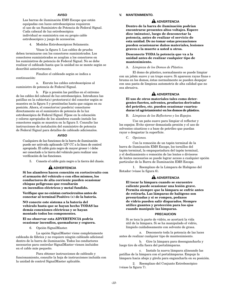## **AVISO**

Las barras de iluminación EMS Escape que están equipadas con luces estroboscópicas requieren el uso de un Suministro de Potencia de Federal Signal. Cada cabezal de luz estroboscópica individual se suministra con su propio cable estroboscópico y juego de accesorios.

4. Modelos Estroboscópicos Solamente.

Véase la figura 5. Los cables de prueba deben terminarse con los conectores suministrados. Los conectores suministrados se acoplan a los conectores en los suministros de potencia de Federal Signal. No se debe realizar el cableado hasta que la unidad no se monte según se describió anteriormente.

Finalice el cableado según se indica a continuación:

a. Enrute los cables estroboscópicos al suministro de potencia de Federal Signal.

b. Fije a presión las patillas en el extremo de los cables del cabezal de luz estroboscópica. Introduzca las patillas en la cubierta(s) protectora(s) del conector según se muestra en la figura 5 y presiónelas hasta que caigan en su posición. Ahora, el conector(es) puede(n) conectarse directamente en el suministro de potencia de la luz estroboscópica de Federal Signal. Fíjese en la colocación y colores apropiados de los alambres cuando instale los conectores según se muestra en la figura 5. Consulte las instrucciones de instalación del suministro de potencia de Federal Signal para detalles de cableado adicionales.

## **AVISO**

Cualquiera de las funciones de la barra de iluminación puede ser activada aplicando 12V CC a la línea de control apropiada. El cable guía negro de mayor grosor (-) debe ser conectado a la tierra del vehículo para realizar una verificación de las funciones.

5. Conecte el cable guía negro a la tierra del chasis.

## **A** ADVERTENCIA

**Si los alambres hacen conexión en cortocircuito con el armazón del vehículo o con ellos mismos, los conductores de alta corriente pueden ocasionar chispas peligrosas que resultarán en incendios eléctricos y metal fundido.**

**Verifique que no existan cortocircuitos antes de conectar al terminal Positivo (+) de la batería.**

**NO conecte este sistema a la batería del vehículo hasta que se hayan hecho TODAS las demás conexiones eléctricas y se hayan montado todos los componentes.**

## **El no observar esta ADVERTENCIA podría ocasionar incendios, quemaduras y ceguera.**

6. Opción SignalMaster.

La opción SignalMaster viene completamente cableada de fábrica y no requiere ningún cableado adicional dentro de la barra de iluminación. Todos los conductores necesarios para controlar SignalMaster vienen incluidos en el cable más pequeño.

Para obtener instrucciones de cableado y funcionamiento, consulte la hoja de instrucciones incluida con la unidad de control SignalMaster aplicable.

#### **V. MANTENIMIENTO.**

## **ADVERTENCIA**

**Dentro de la barra de iluminación podrían encontrarse presentes altos voltajes. Espere diez (minutos), luego de desconectar la potencia, antes de realizar el servicio de esta unidad. De no tomar estas precauciones pueden ocasionarse daños materiales, lesiones graves o la muerte a usted u otros.**

## **Desconecte TODA la potencia que va a la unidad antes de realizar cualquier tipo de mantenimiento.**

## A. *Limpieza de los Domos de Plástico.*

El domo de plástico, normalmente se puede limpiar con un jabón suave y un trapo suave. Si aparecen rayas finas o bruma en los domos, éstas normalmente se pueden despejar con una pasta de limpieza automotriz de alta calidad que no sea abrasiva.

# **ADVERTENCIA**

**El uso de otros materiales tales como detergentes fuertes, solventes, productos derivados del petróleo, etc. pueden ocasionar cuarteaduras (el agrietamiento) en los domos de plástico.**

B. *Limpieza de los Reflectores y los Espejos.*

Use un paño suave para limpiar el reflector y los espejos. Evite ejercer demasiada presión y el uso de solventes cáusticos o a base de petróleo que puedan rayar o desgastar la superficie.

C. *Opciones.*

Con la remoción de un tapón terminal de la barra de iluminación EMS Escape, los tornillos del tapón terminal, la empaquetadura del tapón terminal, y el deslizamiento o remoción de las lentes o divisores de lentes necesarios se puede lograr acceso a cualquier opción particular de la Barra de Iluminación EMS Escape.

1. Reemplazo de la Lámpara de Halógeno del Rotador (véase la figura 6).

## **A** ADVERTENCIA

**El tocar la lámpara cuando se encuentre caliente puede ocasionar una lesión grave. Permita siempre que la lámpara se enfríe antes de retirarla. Las lámparas de halógeno son presurizadas y si se rompen, pedazos de vidrio pueden salir disparados. Siempre utilice guantes y protección para los ojos cuando manipule las lámparas.**

#### **PRECAUCION**

Si se toca la parte de vidrio, se acortará la vida útil de la lámpara. Si se ha manipulado el vidrio, límpielo cuidadosamente con solvente de grasa.

a. Desconecte toda la potencia de las luces antes de realizar cualquier tipo de mantenimiento.

b. Gire la lámpara para desengancharla y luego tire de ella fuera del portalámparas.

c. Instale la nueva lámpara alineando las patillas de la lámpara con el portalámparas. Empuje la lámpara hacia abajo y gírela para engancharla en su posición.

2. Reemplazo del Conjunto Estroboscópico (véase la figura 7).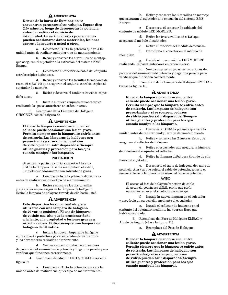# **ADVERTENCIA**

**Dentro de la barra de iluminación se encuentran presentes altos voltajes. Espere diez (10) minutos, luego de desconectar la potencia, antes de realizar el servicio de esta unidad. De no tomar estas precauciones pueden ocasionarse daños materiales, lesiones graves o la muerte a usted u otros.**

a. Desconecte TODA la potencia que va a la unidad antes de realizar cualquier tipo de mantenimiento.

b. Retire y conserve los 4 tornillos de montaje que aseguran el sujetador a la extrusión del sistema EMS Escape.

c. Desconecte el conector de cable del conjunto estroboscópico defectuoso.

d. Retire y conserve los tornillos formadores de rosca #6 x 3/8" (4) que aseguran el conjunto estrobos-cópico al sujetador de montaje.

e. Retire y descarte el conjunto estrobos-cópico defectuoso.

f. Instale el nuevo conjunto estroboscópico realizando los pasos anteriores en orden inverso.

3. Reemplazo de la Lámpara de Halógeno GHSCENE (véase la figura 8).

# **A** ADVERTENCIA

**El tocar la lámpara cuando se encuentre caliente puede ocasionar una lesión grave. Permita siempre que la lámpara se enfríe antes de retirarla. Las lámparas de halógeno son presurizadas y si se rompen, pedazos de vidrio pueden salir disparados. Siempre utilice guantes y protección para los ojos cuando manipule las lámparas.**

#### **PRECAUCION**

Si se toca la parte de vidrio, se acortará la vida útil de la lámpara. Si se ha manipulado el vidrio, límpielo cuidadosamente con solvente de grasa.

a. Desconecte toda la potencia de las luces antes de realizar cualquier tipo de mantenimiento.

b. Retire y conserve los dos tornillos y abrazaderas que aseguran la lámpara de halógeno. Retire la lámpara de halógeno tirando de ella hacia usted.

# **A** ADVERTENCIA

**Este dispositivo ha sido diseñado para utilizarse con una lámpara de halógeno de 20 vatios (máximo). El uso de lámparas de vatiaje más alto puede ocasionar daño a la lente, a la propiedad o lesiones graves a usted o a otros. Utilice siempre una lámpara de halógeno de 20 vatios.**

c. Instale la nueva lámpara de halógeno en la cubierta protectora posterior mediante los tornillos y las abrazaderas retiradas anteriormente.

d. Vuelva a conectar todas las conexiones de potencia del suministro de potencia y haga una prueba para verificar que funcionen correctamente.

4. Reemplazo del Módulo LED MODLED (véase la figura 9).

a. Desconecte TODA la potencia que va a la unidad antes de realizar cualquier tipo de mantenimiento.

b. Retire y conserve los 4 tornillos de montaje que aseguran el sujetador a la extrusión del sistema EMS Escape.

c. Desconecte el conector de cableado del conjunto de módulo LED MODLED.

d. Retire los tres tornillos #8 x 1/2" que aseguran el módulo al sujetador.

e. Retire el conector del módulo defectuoso.

f. Introduzca el conector en el módulo de reemplazo.

g. Instale el nuevo módulo LED MODLED realizando los pasos anteriores en orden inverso.

h. Vuelva a conectar todas las conexiones de potencia del suministro de potencia y haga una prueba para verificar que funcionen correctamente.

5. Reemplazo de la Lámpara de Halógeno EMSHAL (véase la figura 10).

# **A** ADVERTENCIA

**El tocar la lámpara cuando se encuentre caliente puede ocasionar una lesión grave. Permita siempre que la lámpara se enfríe antes de retirarla. Las lámparas de halógeno son presurizadas y si se rompen, pedazos de vidrio pueden salir disparados. Siempre utilice guantes y protección para los ojos cuando manipule las lámparas.**

a. Desconecte TODA la potencia que va a la unidad antes de realizar cualquier tipo de mantenimiento.

b. Retire y conserve las 2 tuercas Keps que aseguran el reflector de halógeno.

c. Retire el espaciador que asegura la lámpara de halógeno al conjunto del reflector.

d. Retire la lámpara defectuosa tirando de ella fuera del sujetador.

e. Desconecte el cable de halógeno del cable de potencia. A la vez que sujeta el cable de potencia, conecte el nuevo cable de la lámpara de halógeno al cable de potencia.

## **AVISO**

El acceso al foco de halógeno/conexión de cable de potencia podría ser difícil, por lo que sería necesario remover el sujetador de montaje.

f. Instale la nueva lámpara en el sujetador y asegúrela en su posición mediante el espaciador.

g. Instale el reflector de halógeno en el conjunto del sujetador mediante las tuercas Keps que había conservado.

6. Reemplazo del Foco de Halógeno EMSAL y Ajuste de Ángulo (véase la figura 11).

a. Reemplazo del Foco de Halógeno.

# **A** ADVERTENCIA

**El tocar la lámpara cuando se encuentre caliente puede ocasionar una lesión grave. Permita siempre que la lámpara se enfríe antes de retirarla. Las lámparas de halógeno son presurizadas y si se rompen, pedazos de vidrio pueden salir disparados. Siempre utilice guantes y protección para los ojos cuando manipule las lámparas.**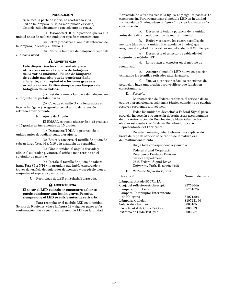#### **PRECAUCION**

Si se toca la parte de vidrio, se acortará la vida útil de la lámpara. Si se ha manipulado el vidrio, límpielo cuidadosamente con solvente de grasa.

(1). Desconecte TODA la potencia que va a la unidad antes de realizar cualquier tipo de mantenimiento.

(2). Retire y conserve el anillo de retención de la lámpara, la lente y el anillo O.

(3). Retire la lámpara de halógeno tirando de ella hacia usted.

# **A** ADVERTENCIA

**Este dispositivo ha sido diseñado para utilizarse con una lámpara de halógeno de 35 vatios (máximo). El uso de lámparas de vatiaje más alto puede ocasionar daño a la lente, a la propiedad o lesiones graves a usted o a otros. Utilice siempre una lámpara de halógeno de 35 vatios.**

(4). Instale la nueva lámpara de halógeno en el conjunto del portalámparas.

(5). Coloque el anillo O y la lente sobre el foco de halógeno y asegúrelos con el anillo de retención retirado anteriormente.

b. Ajuste de Ángulo.

El EMSAL se puede ajustar de + 45 grados a – 45 grados en incrementos de 15 grados.

(1). Desconecte TODA la potencia de la unidad antes de realizar cualquier ajuste.

(2). Retire y conserve el tornillo de ajuste de cabeza larga Torx #6 x 5/16 y la arandela de seguridad.

(3). Gire la unidad al ángulo deseado y alinee el sujetador pivotante al orificio más cercano en el sujetador de montaje.

(4). Instale el tornillo de ajuste de cabeza larga Torx #6 x 5/16 y la arandela que había conservado a través del orificio del sujetador de montaje y asegúrelo bien al conjunto del sujetador pivotante.

7. Reemplazo de LED en Solaris/Barracuda.

# **ADVERTENCIA**

## **El tocar el LED cuando se encuentre caliente puede ocasionar una lesión grave. Permita siempre que el LED se enfríe antes de retirarlo.**

Para reemplazar el módulo LED en la unidad Solaris de 9 botones, véase la figura 12 y siga los pasos a–f a continuación. Para reemplazar el módulo LED en la unidad Barracuda de 3 frentes, véase la figura 13 y siga los pasos a–f a continuación. Para reemplazar el módulo LED en la unidad Barracuda de 3 lados, véase la figura 14 y siga los pasos a–f a continuación.

a. Desconecte toda la potencia de la unidad antes de realizar cualquier tipo de mantenimiento.

b. Retire y conserve los cuatro tornillos de montaje (dos para la unidad Barracuda de 3 lados) que aseguran el sujetador a la extrusión del sistema EMS Escape.

c. Desconecte el conector de cableado del conjunto de módulo LED.

d. Introduzca el conector en el módulo de reemplazo.

e. Asegure el módulo LED nuevo en posición utilizando los tornillos retirados anteriormente.

f. Vuelva a conectar todas las conexiones de potencia y haga una prueba para verificar que funcionen correctamente.

D. *Servicio.*

La instalación de Federal realizará el servicio de su equipo o proporcionará asistencia técnica cuando no se puedan resolver problemas a nivel local.

Todas las unidades devueltas a Federal Signal para servicio, inspección o reparación deberán estar acompañadas de una Autorización de Devolución de Materiales. Podrá obtener esta autorización de su Distribuidor local o Representante del Fabricante.

En este momento, deberá ofrecer una explicación breve del tipo de servicio solicitado o de la naturaleza del malfuncionamiento.

Dirija toda correspondencia y envío a:

Federal Signal Corporation Emergency Products Division Service Department 2645 Federal Signal Drive University Park, IL 60466-3195

E. *Partes de Repuesto Típicas.*

#### Descripción Número de parte

| Lámpara, Rotador8107141A          |            |
|-----------------------------------|------------|
| Conj. del reflector/estroboscopio | 8575364A   |
| Lámpara, Luz Scene                | 8575107A   |
| Lámpara, Interruptor Intermitente |            |
| de Halógeno                       | 8107152A   |
| Lámpara, Callejón                 | 8107231-03 |
| Solaris de 9 botones              | 8003105    |
| Parte frontal de Cuda TriOptic    | 8003059    |
| Extremo de Cuda TriOptic          | 8003057    |
|                                   |            |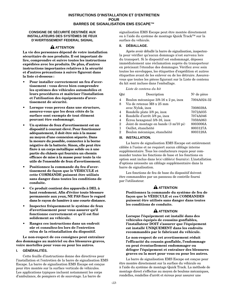# **INSTRUCTIONS D'INSTALLATION ET D'ENTRETIEN POUR BARRES DE SIGNALISATION EMS ESCAPE™**

## **CONSIGNE DE SÉCURITÉ DESTINÉE AUX INSTALLATEURS DES SYSTÈMES DE FEUX D'AVERTISSEMENT FEDERAL SIGNAL**

# **A** ATTENTION

**La vie des personnes dépend de votre installation sécuritaire de nos produits. Il est important de lire, comprendre et suivre toutes les instructions expédiées avec les produits. De plus, d'autres instructions importantes relatives à la sécurité et d'autres précautions à suivre figurent dans la liste ci-dessous :**

- **Pour installer correctement un feu d'avertissement : vous devez bien comprendre les systèmes des véhicules automobiles et leurs procédures et maîtriser l'installation et l'utilisation des équipements d'avertissement de sécurité.**
- **Lorsque vous percez dans une structure, assurez-vous que les deux côtés de la surface sont exempts de tout élément pouvant être endommagé.**
- **Un système de feux d'avertissement est un dispositif à courant élevé. Pour fonctionner adéquatement, il doit être mis à la masse au moyen d'une connexion séparée. Dans la mesure du possible, connectez à la borne négative de la batterie. Sinon, elle peut être fixée à un corps métallique solide ou à une partie du châssis qui fournira un chemin efficace de mise à la masse pour toute la vie utile de l'ensemble de feux d'avertissement.**
- **Positionnez la commande du feu d'avertissement de façon que le VÉHICULE et cette COMMANDE puissent être utilisés sans danger dans toutes les conditions de conduite.**
- **Ce produit contient des appareils à DEL à haut rendement. Afin d'éviter toute blessure permanente aux yeux, NE PAS fixer le regard dans le rayon de lumière à une courte distance.**
- **Inspectez fréquemment le système de feux d'avertissement pour vous assurer qu'il fonctionne correctement et qu'il est fixé solidement au véhicule.**
- **Rangez ces instructions dans un endroit sûr et consultez-les lors de l'entretien et/ou de la réinstallation du dispositif.**

# **Le non-respect de ces consignes peut entraîner des dommages au matériel ou des blessures graves, voire mortelles pour vous ou pour les autres.**

# **I. GÉNÉRALITÉS.**

Cette feuille d'instructions donne des directives pour l'installation et l'entretien de la barre de signalisation EMS Escape. La barre de signalisation EMS Escape est conçue pour être montée sur la surface verticale de véhicules. Les applications typiques incluent notamment les corps d'ambulance, de pompiers et de sauvetage. La barre de

signalisation EMS Escape peut être montée directement ou à l'aide du système de montage Quick Track™ sur la surface du véhicule.

# **II. DÉBALLAGE.**

Après avoir déballé la barre de signalisation, inspectezla pour vérifier qu'aucun dommage n'est survenu lors du transport. Si le dispositif est endommagé, déposez immédiatement une réclamation auprès du transporteur en précisant l'étendue des dommages. Vérifiez avec soin toutes les enveloppes, les étiquettes d'expédition et autres étiquettes avant de les enlever ou de les détruire. Assurezvous que toutes les pièces figurant sur la Liste de contenu du kit sont inclues dans l'emballage.

*Liste de contenu du kit*

| Qté            | Description                                            | $No$ de pièce |
|----------------|--------------------------------------------------------|---------------|
| $\overline{4}$ | Boulon mécanique 3/8-16 x 2 po, inox                   | 7004A024-32   |
| 8              | Vis de retenue M8 x 25 mm                              |               |
|                | avec Nylok, inox                                       | 7008039A      |
| $\overline{4}$ | Rondelle plate 3/8 po, inox                            | 7072A035      |
| $\overline{4}$ | Rondelle d'arrêt 3/8 po, inox                          | 7074A046      |
| $\overline{4}$ | Écrou hexagonal 3/8-16, inox                           | 7059A063      |
| $\overline{2}$ | Joint de montage en bande $(3 \text{ m}/10 \text{ p})$ | 8003006A      |
| $\mathbf{1}$   | Oeillet, étanchéité                                    | 8003127A      |
| 2              | Boulon mécanique, étanchéité                           | 8003128A      |

## **III. INSTALLATION.**

La barre de signalisation EMS Escape est entièrement câblée à l'usine et ne requiert aucun câblage interne supplémentaire. Tous les conducteurs requis pour commander toutes les fonctions de base et les fonctions en option sont inclus dans le(s) câble(s) fourni(s). L'installation d'options nécessite un câblage supplémentaire dans la barre de signalisation.

Les fonctions de feu de base du dispositif doivent être commandées par un panneau de contrôle fourni par l'utilisateur.

# **A** ATTENTION

**Positionnez la commande du système de feu de façon que le VÉHICULE et ces COMMANDES puissent être utilisés sans danger dans toutes les conditions de conduite.**

# **A** ATTENTION

**Lorsque l'équipement est installé dans des véhicules équipés de coussins gonflables, l'installateur DOIT s'assurer que l'équipement est installé UNIQUEMENT dans les endroits recommandés par le fabricant du véhicule.**

**Le non-respect de cet avertissement réduit l'efficacité du coussin gonflable, l'endommage ou peut éventuellement endommager ou déloger l'équipement et entraîner des blessures graves ou la mort pour vous ou pour les autres.**

La barre de signalisation EMS Escape est conçue pour être montée directement sur la surface du véhicule ou à l'aide du système de montage Quick Track. La méthode de montage direct s'effectue au moyen de boulons mécaniques, rondelles, rondelles d'arrêt et écrous pour assurer une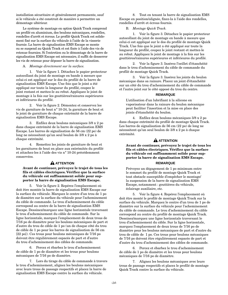installation sécuritaire et généralement permanente, sauf si le véhicule a été construit de manière à permettre un démontage ultérieur.

Le système de montage en option Quick Track comprend un profilé en aluminium, des boulons mécaniques, rondelles, rondelles d'arrêt et écrous. Le profilé Quick Track est solidement fixé sur la surface du véhicule à l'aide de la visserie fournie. La barre de signalisation EMS Escape se monte ou se suspend au Quick Track et est fixée à l'aide des vis de retenue fournies. Si l'entretien ou le démontage de la barre de signalisation EMS Escape est nécessaire, il suffit de desserrer les vis de retenue pour déposer la barre de signalisation.

## A. *Montage directement sur la surface.*

1. Voir la figure 1. Détachez le papier protecteur autocollant du joint de montage en bande à mesure que celui-ci est appliqué sur le dos du profilé de la barre de signalisation EMS Escape. Une fois que le joint a été appliqué sur toute la longueur du profilé, coupez le joint restant et mettez-le au rebut. Appliquez le joint de montage à la fois sur les gouttières/rainures supérieures et inférieures du profilé.

2. Voir la figure 2. Démontez et conservez les vis de garniture de bout n° 10-24, la garniture de bout et le joint de garniture de chaque extrémité de la barre de signalisation EMS Escape.

3. Enfilez deux boulons mécaniques 3/8 x 2 po dans chaque extrémité de la barre de signalisation EMS Escape. Les barres de signalisation de 56 cm (22 po) de long ne nécessitent qu'un seul boulon de 3/8 x 2 po à chaque extrémité.

4. Remettez les joints de garniture de bout et les garnitures de bout en place aux extrémités du profilé et attachez-les à l'aide des vis n° 10-24 précédemment conservées.

# **A** ATTENTION

## **Avant de continuer, prévoyez le trajet de tous les fils et câbles électriques. Vérifiez que la surface du véhicule est suffisamment solide pour supporter la barre de signalisation EMS Escape.**

5. Voir la figure 2. Repérez l'emplacement où doit être montée la barre de signalisation EMS Escape sur la surface du véhicule. Marquez le centre d'un trou de 1 po de diamètre sur la surface du véhicule pour l'acheminement du câble de commande. Le trou d'acheminement du câble correspond au centre de la barre de signalisation EMS Escape. Dessinez/marquez une ligne horizontale traversant le trou d'acheminement du câble de commande. Sur la ligne horizontale, marquez l'emplacement de deux trous de 7/16 po de diamètre pour les boulons mécaniques de part et d'autre du trou de câble de 1 po (un de chaque côté du trou de câble de 1 po pour les barres de signalisation de 56 cm [22 po]). Ces trous pour boulons mécaniques de 7/16 po doivent être régulièrement espacés de part et d'autre du trou d'acheminement des câbles de commande.

6. Percez et ébarbez le trou d'acheminement de câble de 1 po de diamètre et les trous pour boulons mécaniques de 7/16 po de diamètre.

7. Lors du tirage du câble de commande à travers le trou d'acheminement, alignez les boulons mécaniques avec leurs trous de passage respectifs et placez la barre de signalisation EMS Escape contre la surface du véhicule.

8. Tout en tenant la barre de signalisation EMS Escape en position/alignée, fixez-la à l'aide des rondelles, rondelles d'arrêt et écrous fournis.

## B. *Montage Quick Track.*

1. Voir la figure 3. Détachez le papier protecteur autocollant du joint de montage en bande à mesure que celui-ci est appliqué sur le dos du profilé de montage Quick Track. Une fois que le joint a été appliqué sur toute la longueur du profilé, coupez le joint restant et mettez-le au rebut. Appliquez le joint de montage à la fois sur les gouttières/rainures supérieures et inférieures du profilé.

2. Voir la figure 3. Insérez l'oeillet d'étanchéité dans le trou d'acheminement du câble de commande du profilé de montage Quick Track.

3. Voir la figure 3. Insérez les joints du boulon mécanique dans sa rainure. Placez un joint d'étanchéité sur un côté du trou d'acheminement du câble de commande et l'autre joint sur le côté opposé du trou du centre.

## **REMARQUE**

L'utilisation d'un lubrifiant à la silicone en vaporisateur dans la rainure du boulon mécanique peut faciliter l'insertion et la mise en place des joints d'étanchéité du boulon.

4. Enfilez deux boulons mécaniques 3/8 x 2 po dans chaque extrémité du profilé de montage Quick Track. Les barres de signalisation de 56 cm (22 po) de long ne nécessitent qu'un seul boulon de 3/8 x 2 po à chaque extrémité.

# **A** ATTENTION

**Avant de continuer, prévoyez le trajet de tous les fils et câbles électriques. Vérifiez que la surface du véhicule est suffisamment solide pour supporter la barre de signalisation EMS Escape.**

## **REMARQUE**

Prévoyez un dégagement de 1 po minimum entre le sommet du profilé de montage Quick Track et tout obstacle susceptible d'empêcher le montage/ la suspension de la barre de signalisation EMS Escape, notamment : gouttières du véhicule, éclairage auxiliaire, etc.

5. Voir la figure 4. Repérez l'emplacement où doit être monté le profilé de montage Quick Track sur la surface du véhicule. Marquez le centre d'un trou de 1 po de diamètre sur la surface du véhicule pour l'acheminement du câble de commande. Le trou d'acheminement du câble correspond au centre du profilé de montage Quick Track. Dessinez/marquez une ligne horizontale traversant le trou d'acheminement du câble. Sur la ligne horizontale, marquez l'emplacement de deux trous de 7/16 po de diamètre pour les boulons mécaniques de part et d'autre du trou de câble de 1 po. Ces trous pour boulons mécaniques de 7/16 po doivent être régulièrement espacés de part et d'autre du trou d'acheminement des câbles de commande.

6. Percez et ébarbez le trou d'acheminement de câble de 1 po de diamètre et les trous pour boulons mécaniques de 7/16 po de diamètre.

7. Alignez les boulons mécaniques avec leurs trous de passage respectifs et placez le profilé de montage Quick Track contre la surface du véhicule.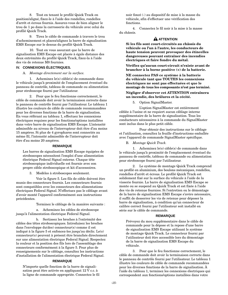8. Tout en tenant le profilé Quick Track en position/aligné, fixez-le à l'aide des rondelles, rondelles d'arrêt et écrous fournis. Assurez-vous de bien aligner le trou de 1 po dans la carrosserie du véhicule avec celui du profilé Quick Track.

9. Tirez le câble de commande à travers le trou d'acheminement et placez/alignez la barre de signalisation EMS Escape sur le dessus du profilé Quick Track.

10. Tout en vous assurant que la barre de signalisation EMS Escape est placée à égale distance des deux extrémités du profilé Quick Track, fixez-la à l'aide des vis de retenue M8 fournies.

# **IV. CONNEXIONS ÉLECTRIQUES.**

## A. *Montage directement sur la surface.*

1. Acheminez le(s) câble(s) de commande dans le véhicule jusqu'à proximité de l'emplacement éventuel du panneau de contrôle, tableau de commande ou alimentation pour stroboscope fourni par l'utilisateur.

2. Pour que le feu fonctionne correctement, le câble de commande doit avoir la terminaison correcte dans le panneau de contrôle fourni par l'utilisateur. Le tableau 1 illustre les couleurs de câble de commande recommandées pour les diverses fonctions de la barre de signalisation. En vous référant au tableau 1, effectuez les connexions électriques requises pour les fonctions/options installées dans votre barre de signalisation EMS Escape. L'intensité admissible au niveau de l'interrupteur doit être d'au moins 15 ampères. Si plus de 4 gyrophares sont connectés au même fil, l'intensité admissible de l'interrupteur doit être d'au moins 20 ampères.

## **REMARQUE**

Les barres de signalisation EMS Escape équipées de stroboscopes nécessitent l'emploi d'une alimentation électrique Federal Signal externe. Chaque tête stroboscopique individuelle est fournie avec son propre câble stroboscopique et kit d'accessoires.

3. Modèles à stroboscopes seulement.

Voir la figure 5. Les fils de câble doivent être munis des connecteurs fournis. Les connecteurs fournis sont compatibles avec les connecteurs des alimentations électriques Federal Signal. N'effectuez pas le câblage avant d'avoir monté l'appareil conformément aux instructions précédentes.

Terminez le câblage de la manière suivante :

a. Acheminez les câbles de stroboscope jusqu'à l'alimentation électrique Federal Signal.

b. Sertissez les broches à l'extrémité des câbles des têtes stroboscopiques. Introduisez les broches dans l'enveloppe du(des) connecteur(s) comme il est indiqué à la figure 5 et enfoncez-les jusqu'au déclic. Le(s) connecteur(s) peuvent à présent être branchés directement sur une alimentation électrique Federal Signal. Respectez la couleur et la position des fils lors de l'assemblage des connecteurs conformément à la figure 5. Pour plus de renseignements sur le câblage, consultez les instructions d'installation de l'alimentation électrique Federal Signal.

## **REMARQUE**

N'importe quelle fonction de la barre de signalisation peut être activée en appliquant 12 V c.c. à la ligne de commande appropriée. Connectez le fil noir foncé (-) au dispositif de mise à la masse du véhicule, afin d'effectuer une vérification des fonctions.

4. Connectez le fil noir à la mise à la masse du châssis.

# **A** ATTENTION

**Si les fils sont court-circuités au châssis du véhicule ou l'un à l'autre, les conducteurs de haute tension peuvent provoquer des étincelles dangereuses pouvant entraîner des incendies électriques et faire fondre du métal.**

**Vérifiez qu'aucun court-circuit n'existe avant de brancher à la borne positive (+) de la batterie.**

**NE connectez PAS ce système à la batterie du véhicule tant que TOUTES les connexions électriques ne sont pas effectuées et que le montage de tous les composants n'est pas terminé.**

## **Négliger d'observer cet ATTENTION entraînera un incendie, des brûlures et la cécité.**

5. Option SignalMaster.

L'option SignalMaster est entièrement câblée à l'usine et ne requiert aucun câblage interne supplémentaire de la barre de signalisation. Tous les conducteurs nécessaires à la commande du SignalMaster sont inclus dans le plus petit câble.

Pour obtenir des instructions sur le câblage et l'utilisation, consultez la feuille d'instructions emballée avec l'appareil de commande SignalMaster spécifique.

B. *Montage Quick Track.*

1. Acheminez le(s) câble(s) de commande dans le véhicule jusqu'à proximité de l'emplacement éventuel du panneau de contrôle, tableau de commande ou alimentation pour stroboscope fourni par l'utilisateur.

2. Le système de montage Quick Track comprend un profilé en aluminium, des boulons mécaniques, rondelles, rondelles d'arrêt et écrous. Le profilé Quick Track est solidement fixé sur la surface du véhicule à l'aide de la visserie fournie. La barre de signalisation EMS Escape se monte ou se suspend au Quick Track et est fixée à l'aide des vis de retenue fournies. Si l'entretien ou le démontage de la barre de signalisation EMS Escape s'avère nécessaire, il suffit de desserrer les vis de retenue pour déposer la barre de signalisation, à condition qu'un connecteur de calibre correct fourni par l'utilisateur soit installé en série sur le câble de commande.

#### **REMARQUE**

Prévoyez du mou supplémentaire dans le câble de commande pour la dépose et la repose d'une barre de signalisation EMS Escape utilisant le système de montage Quick Track. Le connecteur fourni par l'utilisateur doit être accessible lors du démontage de la barre de signalisation EMS Escape du véhicule.

3. Pour que le feu fonctionne correctement, le câble de commande doit avoir la terminaison correcte dans le panneau de contrôle fourni par l'utilisateur. Le tableau 1 illustre les couleurs de câble de commande recommandées pour les diverses fonctions de la barre de signalisation. À l'aide du tableau 1, terminez les connexions électriques qui correspondent aux fonctions/options installées dans votre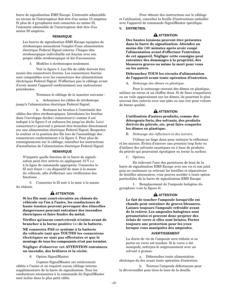barre de signalisation EMS Escape. L'intensité admissible au niveau de l'interrupteur doit être d'au moins 15 ampères. Si plus de 4 gyrophares sont connectés au même fil, l'intensité admissible de l'interrupteur doit être d'au moins 20 ampères.

# **REMARQUE**

Les barres de signalisation EMS Escape équipées de stroboscopes nécessitent l'emploi d'une alimentation électrique Federal Signal externe. Chaque tête stroboscopique individuelle est fournie avec son propre câble stroboscopique et kit d'accessoires.

4. Modèles à stroboscopes seulement.

Voir la figure 5. Les fils de câble doivent être munis des connecteurs fournis. Les connecteurs fournis sont compatibles avec les connecteurs des alimentations électriques Federal Signal. N'effectuez pas le câblage avant d'avoir monté l'appareil conformément aux instructions précédentes.

Terminez le câblage de la manière suivante :

a. Acheminez les câbles de stroboscope jusqu'à l'alimentation électrique Federal Signal.

b. Sertissez les broches à l'extrémité des câbles des têtes stroboscopiques. Introduisez les broches dans l'enveloppe du(des) connecteur(s) comme il est indiqué à la figure 5 et enfoncez-les jusqu'au déclic. Le(s) connecteur(s) peuvent à présent être branchés directement sur une alimentation électrique Federal Signal. Respectez la couleur et la position des fils lors de l'assemblage des connecteurs conformément à la figure 5. Pour plus de renseignements sur le câblage, consultez les instructions d'installation de l'alimentation électrique Federal Signal.

# **REMARQUE**

N'importe quelle fonction de la barre de signalisation peut être activée en appliquant 12 V c.c. à la ligne de commande appropriée. Connectez le fil noir foncé (-) au dispositif de mise à la masse du véhicule, afin d'effectuer une vérification des fonctions.

5. Connectez le fil noir à la mise à la masse du châssis.

# **A** ATTENTION

**Si les fils sont court-circuités au châssis du véhicule ou l'un à l'autre, les conducteurs de haute tension peuvent provoquer des étincelles dangereuses pouvant entraîner des incendies électriques et faire fondre du métal.**

**Vérifiez qu'aucun court-circuit n'existe avant de brancher à la borne positive (+) de la batterie.**

**NE connectez PAS ce système à la batterie du véhicule tant que TOUTES les connexions électriques ne sont pas effectuées et que le montage de tous les composants n'est pas terminé.**

# **Négliger d'observer cet ATTENTION entraînera un incendie, des brûlures et la cécité.**

6. Option SignalMaster.

L'option SignalMaster est entièrement câblée à l'usine et ne requiert aucun câblage interne supplémentaire de la barre de signalisation. Tous les conducteurs nécessaires à la commande du SignalMaster sont inclus dans le plus petit câble.

Pour obtenir des instructions sur le câblage et l'utilisation, consultez la feuille d'instructions emballée avec l'appareil de commande SignalMaster spécifique.

# **V. ENTRETIEN.**

# **A** ATTENTION

**Des hautes tensions peuvent être présentes dans la barre de signalisation. Attendez au moins dix (10) minutes après avoir coupé l'alimentation avant d'effectuer l'entretien de cet appareil. Négliger cette consigne peut entraîner des dommages à la propriété, des blessures graves ou même la mort pour vous ou les autres.**

## **Débranchez TOUS les circuits d'alimentation de l'appareil avant toute opération d'entretien.**

## A. *Nettoyage des dômes en plastique.*

Pour le nettoyage courant des dômes en plastique, utilisez un savon et un chiffon doux. Si de fines craquelures ou un voile apparaissent sur les dômes, ils pourront le plus souvent être enlevés avec une pâte ou une cire pour voiture de bonne qualité.

# **A** ATTENTION

# **L'utilisation d'autres produits, comme des détergents forts, des solvants, des produits dérivés du pétrole, etc. peut faire craqueler les dômes en plastique.**

B. *Nettoyage des réflecteurs et des miroirs.*

Utilisez un linge doux pour nettoyer le réflecteur et les miroirs. Évitez d'exercer une pression trop forte ou d'utiliser des solvants caustiques ou à base de produits du pétrole qui pourraient égratigner ou ternir la surface.

C. *Options.*

En enlevant l'une des garnitures de bout de la barre de signalisation EMS Escape avec ses vis et son joint puis en coulissant ou retirant les lentilles et séparateurs de lentilles nécessaires, vous pouvez accéder à toute option particulière de la barre de signalisation EMS Escape.

1. Remplacement de l'ampoule halogène du gyrophare (voir la figure 6).

# **A** ATTENTION

**Le fait de toucher l'ampoule lorsqu'elle est chaude peut entraîner de graves blessures. Laissez toujours l'ampoule refroidir avant de la retirer. Les ampoules halogènes sont pressurisées et peuvent donc projeter des éclats de verre si elles sont brisées. Portez toujours une protection pour les yeux lorsque vous manipulez des ampoules.**

# **AVERTISSEMENT**

La durée de vie de l'ampoule sera réduite si sa partie en verre est touchée. Si le verre a été manipulé, nettoyez-le soigneusement avec un solvant à graisse.

a. Débranchez toute alimentation électrique du feu avant toute opération d'entretien.

b. Tournez l'ampoule défectueuse pour la déverrouiller puis tirez-la hors de la douille.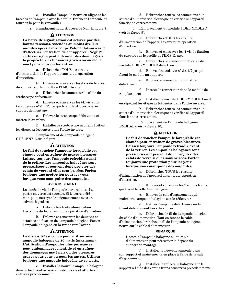c. Installez l'ampoule neuve en alignant les broches de l'ampoule avec la douille. Enfoncez l'ampoule et tournez-la pour la verrouiller.

2. Remplacement du stroboscope (voir la figure 7).

# **A** ATTENTION

**La barre de signalisation est activée par des hautes tensions. Attendez au moins dix (10) minutes après avoir coupé l'alimentation avant d'effectuer l'entretien de cet appareil. Négliger cette consigne peut entraîner des dommages à la propriété, des blessures graves ou même la mort pour vous ou les autres.**

a. Débranchez TOUS les circuits d'alimentation de l'appareil avant toute opération d'entretien.

b. Enlevez et conservez les 4 vis de fixation du support sur le profilé de l'EMS Escape.

c. Débranchez le connecteur de câble du stroboscope défectueux.

d. Enlevez et conservez les (4) vis autotaraudeuses n° 6 x 3/8 po qui fixent le stroboscope au support de montage.

e. Enlevez le stroboscope défectueux et mettez-le au rebut.

f. Installez le stroboscope neuf en répétant les étapes précédentes dans l'ordre inverse.

3. Remplacement de l'ampoule halogène GHSCENE (voir la figure 8).

# **A** ATTENTION

**Le fait de toucher l'ampoule lorsqu'elle est chaude peut entraîner de graves blessures. Laissez toujours l'ampoule refroidir avant de la retirer. Les ampoules halogènes sont pressurisées et peuvent donc projeter des éclats de verre si elles sont brisées. Portez toujours une protection pour les yeux lorsque vous manipulez des ampoules.**

# **AVERTISSEMENT**

La durée de vie de l'ampoule sera réduite si sa partie en verre est touchée. Si le verre a été manipulé, nettoyez-le soigneusement avec un solvant à graisse.

a. Débranchez toute alimentation électrique du feu avant toute opération d'entretien.

b. Enlevez et conservez les deux vis et attaches de fixation de l'ampoule halogène. Sortez l'ampoule halogène en la tirant vers l'avant.

# **A** ATTENTION

**Ce dispositif est conçu pour utiliser une ampoule halogène de 20 watts (maximum). L'utilisation d'ampoules plus puissantes peut endommager la lentille et entraîner des dommages matériels ou des blessures graves pour vous ou pour les autres. Utilisez toujours une ampoule halogène de 20 watts.**

c. Installez la nouvelle ampoule halogène dans le logement arrière à l'aide des vis et attaches enlevées précédemment.

d. Rebranchez toutes les connexions à la source d'alimentation électrique et vérifiez si l'appareil fonctionne correctement.

4. Remplacement du module à DEL MODLED (voir la figure 9).

a. Débranchez TOUS les circuits d'alimentation de l'appareil avant toute opération d'entretien.

b. Enlevez et conservez les 4 vis de fixation du support sur le profilé de l'EMS Escape.

c. Débranchez le connecteur de câble du module à DEL MODLED défectueux.

d. Enlevez les trois vis n° 8 x 1/2 po qui fixent le module au support.

e. Enlevez le connecteur du module défectueux.

f. Insérez le connecteur dans le module de remplacement.

g. Installez le module à DEL MODLED neuf en répétant les étapes précédentes dans l'ordre inverse.

h. Rebranchez toutes les connexions à la source d'alimentation électrique et vérifiez si l'appareil fonctionne correctement.

5. Remplacement de l'ampoule halogène EMSHAL (voir la figure 10).

# **A** ATTENTION

**Le fait de toucher l'ampoule lorsqu'elle est chaude peut entraîner de graves blessures. Laissez toujours l'ampoule refroidir avant de la retirer. Les ampoules halogènes sont pressurisées et peuvent donc projeter des éclats de verre si elles sont brisées. Portez toujours une protection pour les yeux lorsque vous manipulez des ampoules.**

a. Débranchez TOUS les circuits d'alimentation de l'appareil avant toute opération d'entretien.

b. Enlevez et conservez les 2 écrous freins qui fixent le réflecteur halogène.

c. Enlevez la cale d'espacement qui maintient l'ampoule halogène sur le réflecteur.

d. Retirez l'ampoule défectueuse en la tirant délicatement hors du support.

e. Débranchez le fil de l'ampoule halogène du câble d'alimentation. Tout en tenant le câble d'alimentation, branchez le fil de l'ampoule halogène neuve sur le câble d'alimentation.

## **REMARQUE**

L'accès à l'ampoule halogène ou au câble d'alimentation peut nécessiter la dépose du support de montage.

f. Installez la nouvelle ampoule dans son support et maintenez-la en place à l'aide de la cale d'espacement.

g. Installez le réflecteur halogène sur le support à l'aide des écrous freins conservés précédemment.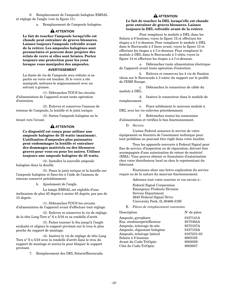6. Remplacement de l'ampoule halogène EMSAL et réglage de l'angle (voir la figure 11).

a. Remplacement de l'ampoule halogène.

# **A** ATTENTION

**Le fait de toucher l'ampoule lorsqu'elle est chaude peut entraîner de graves blessures. Laissez toujours l'ampoule refroidir avant de la retirer. Les ampoules halogènes sont pressurisées et peuvent donc projeter des éclats de verre si elles sont brisées. Portez toujours une protection pour les yeux lorsque vous manipulez des ampoules.**

# **AVERTISSEMENT**

La durée de vie de l'ampoule sera réduite si sa partie en verre est touchée. Si le verre a été manipulé, nettoyez-le soigneusement avec un solvant à graisse.

(1). Débranchez TOUS les circuits d'alimentation de l'appareil avant toute opération d'entretien.

(2). Enlevez et conservez l'anneau de retenue de l'ampoule, la lentille et le joint torique.

(3). Sortez l'ampoule halogène en la tirant vers l'avant.

# **A** ATTENTION

**Ce dispositif est conçu pour utiliser une ampoule halogène de 35 watts (maximum). L'utilisation d'ampoules plus puissantes peut endommager la lentille et entraîner des dommages matériels ou des blessures graves pour vous ou pour les autres. Utilisez toujours une ampoule halogène de 35 watts.**

(4). Installez la nouvelle ampoule halogène dans la douille.

(5). Posez le joint torique et la lentille sur l'ampoule halogène et fixez-les à l'aide de l'anneau de retenue conservé précédemment.

b. Ajustement de l'angle.

La lampe EMSAL est réglable d'une inclinaison de plus 45 degrés à moins 45 degrés, par pas de 15 degrés.

(1). Débranchez TOUS les circuits d'alimentation de l'appareil avant d'effectuer tout réglage.

(2). Enlevez et conservez la vis de réglage de la tête Long Torx n° 6 x 5/16 et sa rondelle d'arrêt.

(3). Faites tourner le feu jusqu'à l'angle souhaité et alignez le support pivotant sur le trou le plus proche du support de montage.

(4). Insérez la vis de réglage de tête Long Torx n° 6 x 5/16 avec la rondelle d'arrêt dans le trou du support de montage et serrez-la pour bloquer le support pivotant.

7. Remplacement des DEL Solaris/Barracuda.

# **A** ATTENTION

**Le fait de toucher la DEL lorsqu'elle est chaude peut entraîner de graves blessures. Laissez toujours la DEL refroidir avant de la retirer.**

Pour remplacer le module à DEL dans les Solaris à 9 boutons, voyez la figure 12 et effectuez les étapes a à f ci-dessous. Pour remplacer le module à DEL dans le Barracuda à 3 faces avant, voyez la figure 13 et effectuez les étapes a à f ci-dessous. Pour remplacer le module à DEL dans le Barracuda à 3 côtés, voyez la figure 14 et effectuez les étapes a à f ci-dessous.

a. Débranchez toute alimentation électrique de l'appareil avant toute opération d'entretien.

b. Enlevez et conservez les 4 vis de fixation (deux sur le Barracuda à 3 cotés) du support sur le profilé de l'EMS Escape.

c. Débranchez le connecteur de câble du module à DEL.

d. Insérez le connecteur dans le module de remplacement.

e. Fixez solidement le nouveau module à DEL avec les vis enlevées précédemment.

f. Rebranchez toutes les connexions d'alimentation et vérifiez le bon fonctionnement.

D. *Service.*

L'usine Federal assurera le service de votre équipement ou fournira de l'assistance technique pour tout problème ne pouvant être réglé dans votre localité.

Tous les appareils renvoyés à Federal Signal pour fins de service, d'inspection ou de réparation, doivent être accompagnés d'une autorisation de retour de matériel (RMA). Vous pouvez obtenir ce formulaire d'autorisation chez votre distributeur local ou chez le représentant du fabricant.

Fournissez alors une brève explication du service requis ou de la nature du mauvais fonctionnement.

Adressez tout votre courrier et vos envois à :

Federal Signal Corporation Emergency Products Division Service Department 2645 Federal Signal Drive University Park, IL 60466-3195

E. *Pièces de remplacement courantes.*

| Description                  | $N^{\circ}$ de pièce |
|------------------------------|----------------------|
| Ampoule, gyrophare           | 8107141A             |
| Ens. stroboscope/réflecteur  | 8575364A             |
| Ampoule, éclairage de site   | 8575107A             |
| Ampoule, clignotant halogène | 8107152A             |
| Ampoule, éclairage latéral   | 8107231-03           |
| Solaris à 9 boutons          | 8003105              |
| Avant du Cuda TriOptic       | 8003059              |
| Côté du Cuda TriOptic        | 8003057              |
|                              |                      |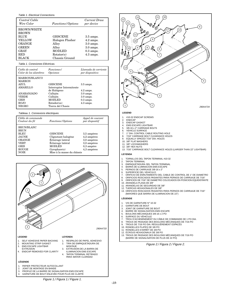#### Table 1. Electrical Connections.

| Control Cable      |                          | Current Draw        |
|--------------------|--------------------------|---------------------|
| Wire Color         | <i>Functions/Options</i> | per device          |
| <b>BROWN/WHITE</b> |                          |                     |
| <b>BROWN</b>       |                          |                     |
| <b>BLUE</b>        | <b>GHSCENE</b>           | $3.5 \text{ amps.}$ |
| YELLOW             | Halogen Flasher          | $4.2 \text{ amps.}$ |
| <b>ORANGE</b>      | Alley                    | $3.0 \text{ amps.}$ |
| <b>GREEN</b>       | Alley                    | $3.0 \text{ amps.}$ |
| <b>GRAY</b>        | <b>MODLED</b>            | $0.3$ amps.         |
| <b>RED</b>         | Rotator(s)               | $4.3 \text{ amps.}$ |
| <b>BLACK</b>       | Chassis Ground           |                     |

#### Tabla 1. Conexiones Eléctricas.

| Cable de control<br>Color de los alambres | <i>Funciones</i> /<br><i>Opciones</i>      | Llamada de corriente<br>por dispositivo    |
|-------------------------------------------|--------------------------------------------|--------------------------------------------|
| MARRON/BLANCO<br><b>MARRON</b>            |                                            |                                            |
| AZUL.<br><b>AMARILLO</b>                  | <b>GHSCENE</b><br>Interruptor Intermitente | $3.5 \text{ amps.}$                        |
| ANARANJADO                                | de Halógeno<br>Callejón                    | $4.2 \text{ amps}.$<br>$3.0 \text{ amps}.$ |
| VERDE                                     | Callejón                                   | $3.0 \text{ amps}.$                        |
| <b>GRIS</b>                               | <b>MODLED</b>                              | $0.3 \text{ amps.}$                        |
| ROJO                                      | Rotador(es)                                | $4.3 \text{ amps}.$                        |
| <b>NEGRO</b>                              | Tierra del Chasis                          |                                            |

#### Tableau 1. Connexions électriques.

| Câble de commande<br>Couleur du fil                                                                                                    | Fonctions/Options                                                                                                                             | Appel de courant<br>par dispositif                                                      |
|----------------------------------------------------------------------------------------------------------------------------------------|-----------------------------------------------------------------------------------------------------------------------------------------------|-----------------------------------------------------------------------------------------|
| <b>BRUN/BLANC</b><br><b>BRUN</b><br><b>BLEU</b><br><b>JAUNE</b><br>ORANGE<br><b>VERT</b><br><b>GRIS</b><br><b>ROUGE</b><br><b>NOIR</b> | <b>GHSCENE</b><br>Clignotant halogène<br>Éclairage latéral<br>Éclairage latéral<br><b>MODLED</b><br>Gvrobare(s)<br>Mise à la masse du châssis | 3,5 ampères<br>4,2 ampères<br>3,0 ampères<br>3,0 ampères<br>$0.3$ ampère<br>4,3 ampères |



1. RESPALDO DE PAPEL ADHESIVO 2. TIRA DE EMPAQUETADURA DE

3. EXTRUSION DE LA BARRA DE ILUMINACION EMS ESCAPE 4. TAPON TERMINAL RETIRADO PARA MAYOR CLARIDAD

MONTAJE

#### **LEGEND**

- 1. SELF ADHESIVE PAPER BACKING
- 2. MOUNTING STRIP GASKET 3. EMS ESCAPE LIGHTBAR
- EXTRUSION
- 4. ENDCAP REMOVED FOR CLARITY
- 

## **LÉGENDE**

- 1. PAPIER PROTECTEUR AUTOCOLLANT<br>2. JOINT DE MONTAGE EN BANDE
- 2. JOINT DE MONTAGE EN BANDE<br>3. PROFILÉ DE LA BARRE DE SIGN
- 3. PROFILÉ DE LA BARRE DE SIGNALISATION EMS ESCAPE<br>4. GARNITURE DE BOUT ENLEVÉE POUR PLUS DE CLARTÉ 4. GARNITURE DE BOUT ENLEVÉE POUR PLUS DE CLARTÉ



- 6. SUPERFICIE DEL VEHICULO
- 7. ORIFICIO DE ENRUTAMIENTO DEL CABLE DE CONTROL DE 1" DE DIAMETRO
- 
- 8. ORIFICIOS ROSCADOS PASANTES PARA PERNOS DE CARRUAJE DE 7/16" 9. ORIFICIOS DE 7/16" DE DIAMETRO COLOCADOS EN POSICION EQUIDISTANTE
- 10. ARANDELA PLANA DE 3/8"
- 11. ARANDELAS DE SEGURIDAD DE 3/8"
- 12. TUERCAS HEXAGONALES DE 3/8"
- 13. ORIFICIOS ROSCADOS PASANTES PARA PERNOS DE CARRUAJE DE 7/16" (MAYORES QUE BARRA DE ILUMINACION DE 22")

#### **LÉGENDE**

12 11

13

12

- 1. VIS DE GARNITURE N° 10-32
- 2. GARNITURE DE BOUT<br>3. JOINT DE GARNITURE
- 3. JOINT DE GARNITURE DE BOUT
- 
- 4. BARRE DE SIGNALISATION EMS ESCAPE 5. BOULONS MÉCANIQUES 3/8-16 x 2 PO
- 6. SURFACE DU VÉHICULE
- 7. TROU D'ACHEMINEMENT DU CÂBLE DE COMMANDE DE 1 PO DIA.<br>8. TROUS DE PASSAGE DES BOULONS MÉCANIQUES DE 7/16 PO
- 8. TROUS DE PASSAGE DES BOULONS MÉCANIQUES DE 7/16 PO 9. TROUS DE 7/16 PO DIA. RÉGULIÈREMENT ESPACÉS
- 
- 10. RONDELLES PLATES DE 3/8 PO
- 11. RONDELLES D'ARRÊT DE 3/8 PO
- 
- 12. ÉCROUS HEXAGONAUX DE 3/8 PO 13. TROUS DE PASSAGE DES BOULONS MÉCANIQUES DE 7/16 PO (BARRE DE SIGNALISATION DE PLUS DE 22 PO)

Figure 2./ Figura 2./ Figure 2.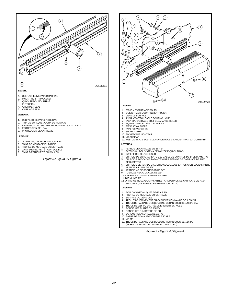

- 
- 4. JOINT D'ÉTANCHÉITÉ POUR L'OEILLET<br>5. JOINT D'ÉTANCHÉITÉ DU BOULON 5. JOINT D'ÉTANCHÉITÉ DU BOULON

Figure 3./ Figura 3./ Figure 3.



- 1. 3/8-16 x 2" CARRIAGE BOLTS<br>2. QUICK TRACK MOUNTING EX
- QUICK TRACK MOUNTING EXTRUSION
- 3. VEHICLE SURFACE<br>4. 1" DIA CONTROL C
- 4. 1" DIA. CONTROL CABLE ROUTING HOLE<br>5. 7/16" DIA. CARRIAGE BOLT CLEARANCE H
- 5. 7/16" DIA. CARRIAGE BOLT CLEARANCE HOLES
- 6. EQUALLY SPACED 7/16" DIA. HOLES 7. 3/8" FLAT WASHERS
- 
- 8. 3/8" LOCKWASHERS<br>9. 3/8" HEX NUTS 3/8" HEX NUTS
- 10. EMS ESCAPE LIGHTBAR
- 11. M8 SCREWS
- 12. 7/16" CARRIAGE BOLT CLEARANCE HOLES (LARGER THAN 22" LIGHTBAR)

#### **LEYENDA**

- 1. PERNOS DE CARRUAJE 3/8-16 x 2"<br>2. EXTRUSION DEL SISTEMA DE MON
- 2. EXTRUSION DEL SISTEMA DE MONTAJE QUICK TRACK
- 3. SUPERFICIE DEL VEHICULO
- 4. ORIFICIO DE ENRUTAMIENTO DEL CABLE DE CONTROL DE 1" DE DIAMETRO 5. ORIFICIOS ROSCADOS PASANTES PARA PERNOS DE CARRUAJE DE 7/16"
- DE DIAMETRO 6. ORIFICIOS DE 7/16" DE DIAMETRO COLOCADOS EN POSICION EQUIDISTANTE 7. ARANDELA PLANA DE 3/8"
- 
- 8. ARANDELAS DE SEGURIDAD DE 3/8"
- 9. TUERCAS HEXAGONALES DE 3/8" 10. BARRA DE ILUMINACION EMS ESCAPE
- 
- 11. TORNILLOS M8
- 12. ORIFICIOS ROSCADOS PASANTES PARA PERNOS DE CARRUAJE DE 7/16" (MAYORES QUE BARRA DE ILUMINACION DE 22")

#### **LÉGENDE**

- 1. BOULONS MÉCANIQUES 3/8-16 x 2 PO
- 2. PROFILÉ DE MONTAGE QUICK TRACK
- 3. SURFACE DU VÉHICULE<br>4 TROU D'ACHEMINEMENT
- 4. TROU D'ACHEMINEMENT DU CÂBLE DE COMMANDE DE 1 PO DIA.
- 5. TROUS DE PASSAGE DES BOULONS MÉCANIQUES DE 7/16 PO DIA.
- 6. TROUS DE 7/16 PO DIA. RÉGULIÈREMENT ESPACÉS<br>7. RONDELLES PLATES DE 3/8 PO
- 7. RONDELLES PLATES DE 3/8 PO
- 
- 8. RONDELLES D'ARRÊT DE 3/8 PO 9. ÉCROUS HEXAGONAUX DE 3/8 PO
- 10. BARRE DE SIGNALISATION EMS ESCAPE
- 11. VIS M8
- 12. TROUS DE PASSAGE DES BOULONS MÉCANIQUES DE 7/16 PO (BARRE DE SIGNALISATION DE PLUS DE 22 PO)

Figure 4./ Figura 4./ Figure 4.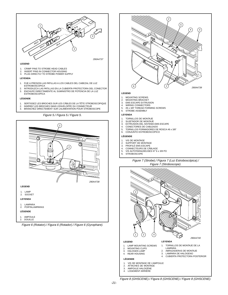

#### **LEGEND**

- CRIMP PINS TO STROBE HEAD CABLES
- 2. INSERT PINS IN CONNECTOR HOUSING 3. PLUG DIRECTLY TO STROBE POWER SUPPLY
- 

#### **LEYENDA**

- 1. FIJE A PRESION LAS PATILLAS A LOS CABLES DEL CABEZAL DE LUZ ESTROBOSCOPICA
- 2. INTRODUZCA LAS PATILLAS EN LA CUBIERTA PROTECTORA DEL CONECTOR<br>3. ENCHUFE DIRECTAMENTE AL SUMINISTRO DE POTENCIA DE LA LUZ 3. ENCHUFE DIRECTAMENTE AL SUMINISTRO DE POTENCIA DE LA LUZ
- **ESTROBOSCOPICA**

#### **LÉGENDE**

- 1. SERTISSEZ LES BROCHES SUR LES CÂBLES DE LA TÊTE STROBOSCOPIQUE<br>2. INSÉREZ LES BROCHES DANS L'ENVELOPPE DU CONNECTEUR
- 2. INSÉREZ LES BROCHES DANS L'ENVELOPPE DU CONNECTEUR
- 3. BRANCHEZ DIRECTEMENT SUR L'ALIMENTATION POUR STROBOSCOPE

Figure 5./ Figura 5./ Figure 5. **LEYENDA**



Figure 6 (Rotator)./ Figura 6 (Rotador)./ Figure 6 (Gyrophare).



- 
- 
- 3. EXTRUSION DEL SISTEMA EMS ESCAPE<br>4. CONECTORES DE CABLEADO
- 4. CONECTORES DE CABLEADO 5. TORNILLOS FORMADORES DE ROSCA #6 x 3/8"
- 6. CONJUNTO ESTROBOSCOPICO

#### **LÉGENDE**

- 
- 1. VIS DE MONTAGE 2. SUPPORT DE MONTAGE
- 
- 3. PROFILÉ EMS ESCAPE<br>4. CONNECTEURS DE CÂ
- 4. CONNECTEURS DE CÂBLAGE<br>5. VIS AUTOTARAUDEUSES N° 6 VIS AUTOTARAUDEUSES N° 6 x 3/8 PO
- 6. STROBOSCOPE
- 

#### Figure 7 (Strobe)./ Figura 7 (Luz Estroboscópica)./ Figure 7 (Stroboscope).



4. LOGEMENT ARRIÈRE

Figure 8 (GHSCENE)./ Figura 8 (GHSCENE)./ Figure 8 (GHSCENE).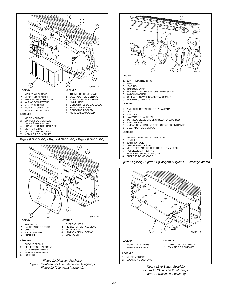







#### **LEGEND**

- 1. LAMP RETAINING RING
- 2. LENS<br>3. "O"-RI
- 3. "O"-RING
- 4. HALOGEN LAMP<br>5. #6 x 5/16" TORX H
- 5. #6 x 5/16" TORX HEAD ADJUSTMENT SCREW<br>6. #6 LOCKWASHER
- 6. #6 LOCKWASHER<br>7 LINIT WITH SWIVE 7. UNIT WITH SWIVEL BRACKET ASSEMBLY<br>8. MOUNTING BRACKET
- MOUNTING BRACKET

#### **LEYENDA**

- 1. ANILLO DE RETENCION DE LA LAMPARA
- 2. LENTE
- 3. ANILLO "O"
- 4. LAMPARA DE HALOGENO<br>5. TORNILLO DE AJUSTE DE
- 5. TORNILLO DE AJUSTE DE CABEZA TORX #6 x 5/16"<br>6 ARANDELA #6 6. ARANDELA #6
- 7. UNIDAD CON CONJUNTO DE SUJETADOR PIVOTANTE 8. SUJETADOR DE MONTAJE
- 8. SUJETADOR DE MONTAJE

#### **LÉGENDE**

- 1. ANNEAU DE RETENUE D'AMPOULE
- 2. LENTILLE<br>3. JOINT TOF
- 3. JOINT TORIQUE<br>4. AMPOULE HALO
- 4. AMPOULE HALOGÈNE<br>5. VIS DE RÉGLAGE DE T
- 5. VIS DE RÉGLAGE DE TÊTE TORX № 6 x 5/16 PO<br>6. RONDELLE D'ARRÊT № 6
- 
- 7. TÊTE AVEC SUPPORT PIVOTANT<br>8. SUPPORT DE MONTAGE SUPPORT DE MONTAGE

Figure 11 (Alley)./ Figura 11 (Callejón)./ Figure 11 (Éclairage latéral).



Figure 12 (9-Button Solaris)./ Figura 12 (Solaris de 9 Botones)./ Figure 12 (Solaris à 9 boutons).